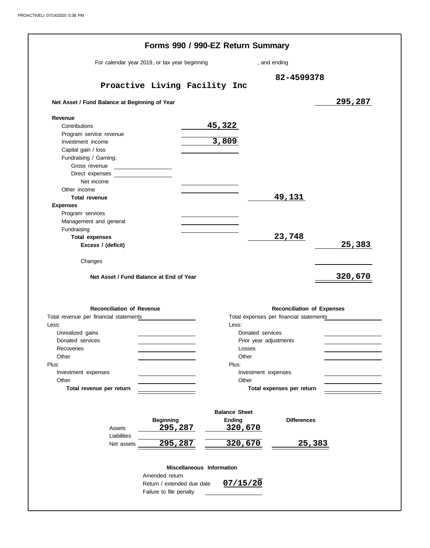|                                                    | Forms 990 / 990-EZ Return Summary                     |                               |                      |                                         |               |
|----------------------------------------------------|-------------------------------------------------------|-------------------------------|----------------------|-----------------------------------------|---------------|
| For calendar year 2019, or tax year beginning      |                                                       |                               |                      | , and ending                            |               |
|                                                    |                                                       | Proactive Living Facility Inc |                      | 82-4599378                              |               |
| Net Asset / Fund Balance at Beginning of Year      |                                                       |                               |                      |                                         | 295,287       |
| Revenue                                            |                                                       |                               |                      |                                         |               |
| Contributions                                      |                                                       | 45,322                        |                      |                                         |               |
| Program service revenue                            |                                                       |                               |                      |                                         |               |
| Investment income                                  |                                                       | 3,809                         |                      |                                         |               |
| Capital gain / loss                                |                                                       |                               |                      |                                         |               |
| Fundraising / Gaming:                              |                                                       |                               |                      |                                         |               |
| Gross revenue                                      |                                                       |                               |                      |                                         |               |
| Direct expenses                                    |                                                       |                               |                      |                                         |               |
| Net income                                         |                                                       |                               |                      |                                         |               |
| Other income                                       |                                                       |                               |                      |                                         |               |
| Total revenue                                      |                                                       |                               |                      | 49,131                                  |               |
| <b>Expenses</b>                                    |                                                       |                               |                      |                                         |               |
| Program services                                   |                                                       |                               |                      |                                         |               |
| Management and general                             |                                                       |                               |                      |                                         |               |
| Fundraising                                        |                                                       |                               |                      |                                         |               |
| <b>Total expenses</b>                              |                                                       |                               |                      | 23,748                                  |               |
| Excess / (deficit)                                 |                                                       |                               |                      |                                         | 25,383        |
| Changes<br>Net Asset / Fund Balance at End of Year |                                                       |                               |                      |                                         | 320,670       |
| <b>Reconciliation of Revenue</b>                   |                                                       |                               |                      | <b>Reconciliation of Expenses</b>       |               |
| Total revenue per financial statements             |                                                       |                               |                      | Total expenses per financial statements |               |
| Less:                                              |                                                       |                               | Less:                |                                         |               |
| Unrealized gains                                   |                                                       |                               |                      | Donated services                        |               |
| Donated services                                   |                                                       |                               |                      | Prior year adjustments                  |               |
| Recoveries                                         |                                                       |                               | Losses               |                                         |               |
| Other                                              |                                                       |                               | Other                |                                         |               |
| Plus:                                              |                                                       |                               | Plus:                |                                         |               |
| Investment expenses                                |                                                       |                               |                      | Investment expenses                     |               |
| Other                                              |                                                       |                               | Other                |                                         |               |
| Total revenue per return                           |                                                       |                               |                      | Total expenses per return               |               |
|                                                    |                                                       |                               | <b>Balance Sheet</b> |                                         |               |
|                                                    | <b>Beginning</b>                                      |                               | <b>Ending</b>        | <b>Differences</b>                      |               |
| Assets                                             | <u>295,287</u>                                        |                               | 320,670              |                                         |               |
| Liabilities                                        |                                                       |                               |                      |                                         |               |
| Net assets                                         | 295,287                                               |                               | 320,670              |                                         | <u>25,383</u> |
|                                                    |                                                       | Miscellaneous Information     |                      |                                         |               |
|                                                    | Amended return                                        |                               |                      |                                         |               |
|                                                    | Return / extended due date<br>Failure to file penalty |                               | 07/15/20             |                                         |               |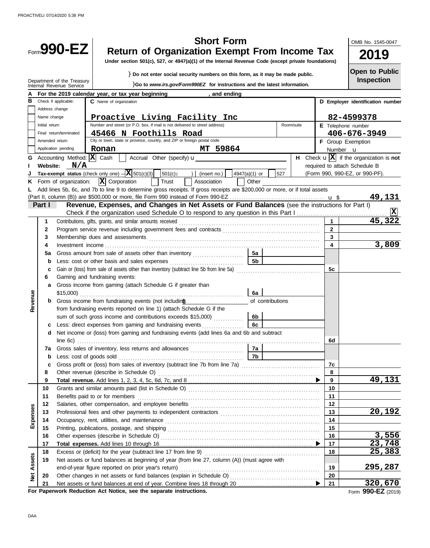|          |                | <b>Form990-EZ</b>                      | <b>Short Form</b><br><b>Return of Organization Exempt From Income Tax</b><br>Under section 501(c), 527, or 4947(a)(1) of the Internal Revenue Code (except private foundations)                                                      |            |              | OMB No. 1545-0047<br>2019                                          |
|----------|----------------|----------------------------------------|--------------------------------------------------------------------------------------------------------------------------------------------------------------------------------------------------------------------------------------|------------|--------------|--------------------------------------------------------------------|
|          |                |                                        |                                                                                                                                                                                                                                      |            |              | <b>Open to Public</b>                                              |
|          |                | Department of the Treasury             | } Do not enter social security numbers on this form, as it may be made public.                                                                                                                                                       |            |              | <b>Inspection</b>                                                  |
|          |                | Internal Revenue Service               | <b>}Go to www.irs.gov/Form990EZ for instructions and the latest information.</b>                                                                                                                                                     |            |              |                                                                    |
| в        |                | Check if applicable:                   | For the 2019 calendar year, or tax year beginning<br>and ending<br>C Name of organization                                                                                                                                            |            |              |                                                                    |
|          | Address change |                                        |                                                                                                                                                                                                                                      |            |              | D Employer identification number                                   |
|          | Name change    |                                        | Proactive Living Facility Inc                                                                                                                                                                                                        |            |              | 82-4599378                                                         |
|          | Initial return |                                        | Number and street (or P.O. box, if mail is not delivered to street address)                                                                                                                                                          | Room/suite |              | E Telephone number                                                 |
|          |                | Final return/terminated                | 45466 N Foothills Road                                                                                                                                                                                                               |            |              | $406 - 676 - 3949$                                                 |
|          | Amended return |                                        | City or town, state or province, country, and ZIP or foreign postal code                                                                                                                                                             |            |              | F Group Exemption                                                  |
|          |                | Application pending                    | MT 59864<br>Ronan                                                                                                                                                                                                                    |            |              | Number <b>u</b>                                                    |
| G        |                | Accounting Method: $ \mathbf{X} $ Cash | Accrual Other (specify) <b>u</b>                                                                                                                                                                                                     |            |              | <b>H</b> Check $\mathbf{u}[\mathbf{X}]$ if the organization is not |
|          | Website:       | N/A                                    |                                                                                                                                                                                                                                      |            |              | required to attach Schedule B                                      |
|          |                |                                        | Tax-exempt status (check only one) $- X $ 501(c)(3)<br>501(c)<br>4947(a)(1) or<br>$\overline{1}$<br>(insert no.)<br>Trust<br>Association                                                                                             | 527        |              | (Form 990, 990-EZ, or 990-PF).                                     |
| K.       |                | Form of organization:                  | $\mathbf{X}$ Corporation<br>Other<br>Add lines 5b, 6c, and 7b to line 9 to determine gross receipts. If gross receipts are \$200,000 or more, or if total assets                                                                     |            |              |                                                                    |
|          |                |                                        |                                                                                                                                                                                                                                      |            |              | 49,131                                                             |
|          | Part I         |                                        | Revenue, Expenses, and Changes in Net Assets or Fund Balances (see the instructions for Part I)                                                                                                                                      |            |              |                                                                    |
|          |                |                                        | Check if the organization used Schedule O to respond to any question in this Part I                                                                                                                                                  |            |              | $\vert \mathbf{x} \vert$                                           |
|          | 1              |                                        | Contributions, gifts, grants, and similar amounts received                                                                                                                                                                           |            | 1            | 45,322                                                             |
|          | 2              |                                        |                                                                                                                                                                                                                                      |            | $\mathbf{2}$ |                                                                    |
|          | 3              |                                        |                                                                                                                                                                                                                                      |            | 3            |                                                                    |
|          | 4              |                                        |                                                                                                                                                                                                                                      |            | 4            | 3,809                                                              |
|          | 5a             |                                        | Gross amount from sale of assets other than inventory<br>5a                                                                                                                                                                          |            |              |                                                                    |
|          | b              |                                        | Less: cost or other basis and sales expenses<br>5b                                                                                                                                                                                   |            |              |                                                                    |
|          | c              |                                        | Gain or (loss) from sale of assets other than inventory (subtract line 5b from line 5a)                                                                                                                                              |            | 5c           |                                                                    |
|          | 6<br>a         |                                        | Gaming and fundraising events:<br>Gross income from gaming (attach Schedule G if greater than                                                                                                                                        |            |              |                                                                    |
|          |                | \$15,000)                              | 6a                                                                                                                                                                                                                                   |            |              |                                                                    |
| Revenue  | b              |                                        | Gross income from fundraising events (not including<br>of contributions                                                                                                                                                              |            |              |                                                                    |
|          |                |                                        | from fundraising events reported on line 1) (attach Schedule G if the                                                                                                                                                                |            |              |                                                                    |
|          |                |                                        | sum of such gross income and contributions exceeds \$15,000)<br>6b                                                                                                                                                                   |            |              |                                                                    |
|          |                |                                        | c Less: direct expenses from gaming and fundraising events<br>$rac{6}{5}$                                                                                                                                                            |            |              |                                                                    |
|          |                |                                        | Net income or (loss) from gaming and fundraising events (add lines 6a and 6b and subtract                                                                                                                                            |            |              |                                                                    |
|          |                |                                        |                                                                                                                                                                                                                                      |            | 6d           |                                                                    |
|          | 7a             |                                        | 7a                                                                                                                                                                                                                                   |            |              |                                                                    |
|          | b              | Less: cost of goods sold               | <u>7b</u>                                                                                                                                                                                                                            |            | 7c           |                                                                    |
|          | c<br>8         |                                        | Other revenue (describe in Schedule O)                                                                                                                                                                                               |            | 8            |                                                                    |
|          | 9              |                                        |                                                                                                                                                                                                                                      |            | 9            | 49,131                                                             |
|          | 10             |                                        |                                                                                                                                                                                                                                      |            | 10           |                                                                    |
|          | 11             |                                        | Benefits paid to or for members <b>contained a container and a container and a container and a container and a container and a container and container and container and container and container and container and container and</b> |            | 11           |                                                                    |
|          | 12             |                                        |                                                                                                                                                                                                                                      |            | 12           |                                                                    |
| Expenses | 13             |                                        |                                                                                                                                                                                                                                      |            | 13           | 20,192                                                             |
|          | 14             |                                        |                                                                                                                                                                                                                                      |            | 14           |                                                                    |
|          | 15             |                                        |                                                                                                                                                                                                                                      |            | 15           |                                                                    |
|          | 16             |                                        |                                                                                                                                                                                                                                      |            | 16           | 3,556                                                              |
|          | 17<br>18       |                                        |                                                                                                                                                                                                                                      |            | 17<br>18     | 23,748<br><u>25,383</u>                                            |
|          | 19             |                                        | Net assets or fund balances at beginning of year (from line 27, column (A)) (must agree with                                                                                                                                         |            |              |                                                                    |
| Assets   |                |                                        | end-of-year figure reported on prior year's return)                                                                                                                                                                                  |            | 19           | <u>295,287</u>                                                     |
| Net      | 20             |                                        |                                                                                                                                                                                                                                      |            | 20           |                                                                    |
|          | 21             |                                        |                                                                                                                                                                                                                                      |            | 21           | 320,670                                                            |
|          |                |                                        | For Paperwork Reduction Act Notice, see the separate instructions.                                                                                                                                                                   |            |              | Form 990-EZ (2019)                                                 |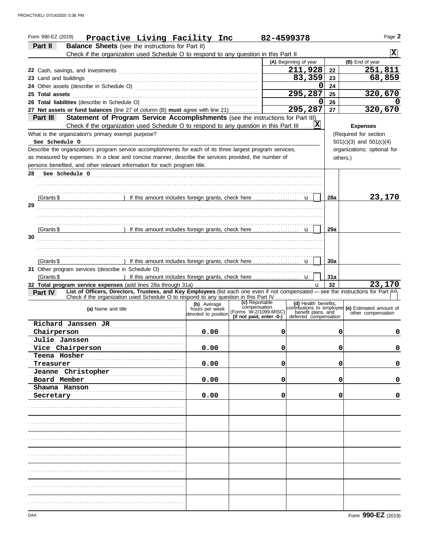|    | Form 990-EZ (2019)                                                                                                                                                                                                   | Proactive Living Facility Inc                                                                                                                                                                                              |                     | 82-4599378               |                       |            | Page 2                                                         |
|----|----------------------------------------------------------------------------------------------------------------------------------------------------------------------------------------------------------------------|----------------------------------------------------------------------------------------------------------------------------------------------------------------------------------------------------------------------------|---------------------|--------------------------|-----------------------|------------|----------------------------------------------------------------|
|    | Part II                                                                                                                                                                                                              | <b>Balance Sheets</b> (see the instructions for Part II)                                                                                                                                                                   |                     |                          |                       |            |                                                                |
|    |                                                                                                                                                                                                                      | Check if the organization used Schedule O to respond to any question in this Part II                                                                                                                                       |                     |                          |                       |            | $ {\bf x} $                                                    |
|    |                                                                                                                                                                                                                      |                                                                                                                                                                                                                            |                     |                          | (A) Beginning of year |            | (B) End of year                                                |
|    |                                                                                                                                                                                                                      |                                                                                                                                                                                                                            |                     |                          | 211,928               | -22        | 251,811                                                        |
|    | 23 Land and buildings                                                                                                                                                                                                |                                                                                                                                                                                                                            |                     |                          | 83,359                | 23         | 68,859                                                         |
|    |                                                                                                                                                                                                                      |                                                                                                                                                                                                                            |                     |                          | 0                     | 24         |                                                                |
|    | 25 Total assets                                                                                                                                                                                                      |                                                                                                                                                                                                                            |                     |                          | 295,287               | 25         | 320,670                                                        |
|    |                                                                                                                                                                                                                      |                                                                                                                                                                                                                            |                     |                          | 0                     | 26         |                                                                |
|    | 27 Net assets or fund balances (line 27 of column (B) must agree with line 21)                                                                                                                                       |                                                                                                                                                                                                                            |                     |                          | 295,287               | 27         | 320,670                                                        |
|    | Part III                                                                                                                                                                                                             | Statement of Program Service Accomplishments (see the instructions for Part III)                                                                                                                                           |                     |                          | X                     |            |                                                                |
|    |                                                                                                                                                                                                                      | Check if the organization used Schedule O to respond to any question in this Part III                                                                                                                                      |                     |                          |                       |            | <b>Expenses</b>                                                |
|    | What is the organization's primary exempt purpose?                                                                                                                                                                   |                                                                                                                                                                                                                            |                     |                          |                       |            | (Required for section                                          |
|    | See Schedule O                                                                                                                                                                                                       |                                                                                                                                                                                                                            |                     |                          |                       |            | $501(c)(3)$ and $501(c)(4)$                                    |
|    | Describe the organization's program service accomplishments for each of its three largest program services,<br>as measured by expenses. In a clear and concise manner, describe the services provided, the number of |                                                                                                                                                                                                                            |                     |                          |                       |            | organizations; optional for                                    |
|    | persons benefited, and other relevant information for each program title.                                                                                                                                            |                                                                                                                                                                                                                            |                     |                          |                       | others.)   |                                                                |
| 28 |                                                                                                                                                                                                                      |                                                                                                                                                                                                                            |                     |                          |                       |            |                                                                |
|    | See Schedule O                                                                                                                                                                                                       |                                                                                                                                                                                                                            |                     |                          |                       |            |                                                                |
|    |                                                                                                                                                                                                                      |                                                                                                                                                                                                                            |                     |                          |                       |            |                                                                |
|    | (Grants \$                                                                                                                                                                                                           | ) If this amount includes foreign grants, check here                                                                                                                                                                       |                     |                          |                       | <b>28a</b> | 23,170                                                         |
| 29 |                                                                                                                                                                                                                      |                                                                                                                                                                                                                            |                     |                          |                       |            |                                                                |
|    |                                                                                                                                                                                                                      |                                                                                                                                                                                                                            |                     |                          |                       |            |                                                                |
|    |                                                                                                                                                                                                                      |                                                                                                                                                                                                                            |                     |                          |                       |            |                                                                |
|    | (Grants \$                                                                                                                                                                                                           | ) If this amount includes foreign grants, check here                                                                                                                                                                       |                     |                          |                       | <b>29a</b> |                                                                |
| 30 |                                                                                                                                                                                                                      |                                                                                                                                                                                                                            |                     |                          |                       |            |                                                                |
|    |                                                                                                                                                                                                                      |                                                                                                                                                                                                                            |                     |                          |                       |            |                                                                |
|    |                                                                                                                                                                                                                      |                                                                                                                                                                                                                            |                     |                          |                       |            |                                                                |
|    | (Grants \$                                                                                                                                                                                                           |                                                                                                                                                                                                                            |                     |                          |                       | 30a        |                                                                |
|    | 31 Other program services (describe in Schedule O)                                                                                                                                                                   |                                                                                                                                                                                                                            |                     |                          |                       |            |                                                                |
|    | (Grants \$                                                                                                                                                                                                           |                                                                                                                                                                                                                            |                     |                          |                       | 31a        |                                                                |
|    | 32 Total program service expenses (add lines 28a through 31a)                                                                                                                                                        |                                                                                                                                                                                                                            |                     |                          |                       | 32         | 23,170                                                         |
|    | Part IV                                                                                                                                                                                                              | List of Officers, Directors, Trustees, and Key Employees (list each one even if not compensated - see the instructions for Part A4<br>Check if the organization used Schedule O to respond to any question in this Part IV |                     |                          |                       |            |                                                                |
|    |                                                                                                                                                                                                                      |                                                                                                                                                                                                                            | (b) Average         | (c) Reportable           | (d) Health benefits.  |            |                                                                |
|    | (a) Name and title                                                                                                                                                                                                   |                                                                                                                                                                                                                            | hours per week      |                          |                       |            | compensation contributions to employee (e) Estimated amount of |
|    |                                                                                                                                                                                                                      |                                                                                                                                                                                                                            | devoted to position | (if not paid, enter -0-) | deferred compensation |            |                                                                |
|    | Richard Janssen JR                                                                                                                                                                                                   |                                                                                                                                                                                                                            |                     |                          |                       |            |                                                                |
|    | Chairperson                                                                                                                                                                                                          |                                                                                                                                                                                                                            | 0.00                | 0                        |                       | U          |                                                                |
|    | Julie Janssen                                                                                                                                                                                                        |                                                                                                                                                                                                                            |                     |                          |                       |            |                                                                |
|    | Vice Chairperson                                                                                                                                                                                                     |                                                                                                                                                                                                                            | 0.00                | 0                        |                       | 0          | 0                                                              |
|    | Teena Hosher                                                                                                                                                                                                         |                                                                                                                                                                                                                            |                     |                          |                       |            |                                                                |
|    | Treasurer                                                                                                                                                                                                            |                                                                                                                                                                                                                            | 0.00                | 0                        |                       | 0          | 0                                                              |
|    | Jeanne Christopher<br>Board Member                                                                                                                                                                                   |                                                                                                                                                                                                                            |                     |                          |                       |            |                                                                |
|    |                                                                                                                                                                                                                      |                                                                                                                                                                                                                            | 0.00                | 0                        |                       | 0          | 0                                                              |
|    | Shawna Hanson                                                                                                                                                                                                        |                                                                                                                                                                                                                            | 0.00                | 0                        |                       | 0          | 0                                                              |
|    | Secretary                                                                                                                                                                                                            |                                                                                                                                                                                                                            |                     |                          |                       |            |                                                                |
|    |                                                                                                                                                                                                                      |                                                                                                                                                                                                                            |                     |                          |                       |            |                                                                |
|    |                                                                                                                                                                                                                      |                                                                                                                                                                                                                            |                     |                          |                       |            |                                                                |
|    |                                                                                                                                                                                                                      |                                                                                                                                                                                                                            |                     |                          |                       |            |                                                                |
|    |                                                                                                                                                                                                                      |                                                                                                                                                                                                                            |                     |                          |                       |            |                                                                |
|    |                                                                                                                                                                                                                      |                                                                                                                                                                                                                            |                     |                          |                       |            |                                                                |
|    |                                                                                                                                                                                                                      |                                                                                                                                                                                                                            |                     |                          |                       |            |                                                                |
|    |                                                                                                                                                                                                                      |                                                                                                                                                                                                                            |                     |                          |                       |            |                                                                |
|    |                                                                                                                                                                                                                      |                                                                                                                                                                                                                            |                     |                          |                       |            |                                                                |
|    |                                                                                                                                                                                                                      |                                                                                                                                                                                                                            |                     |                          |                       |            |                                                                |
|    |                                                                                                                                                                                                                      |                                                                                                                                                                                                                            |                     |                          |                       |            |                                                                |
|    |                                                                                                                                                                                                                      |                                                                                                                                                                                                                            |                     |                          |                       |            |                                                                |
|    |                                                                                                                                                                                                                      |                                                                                                                                                                                                                            |                     |                          |                       |            |                                                                |
|    |                                                                                                                                                                                                                      |                                                                                                                                                                                                                            |                     |                          |                       |            |                                                                |
|    |                                                                                                                                                                                                                      |                                                                                                                                                                                                                            |                     |                          |                       |            |                                                                |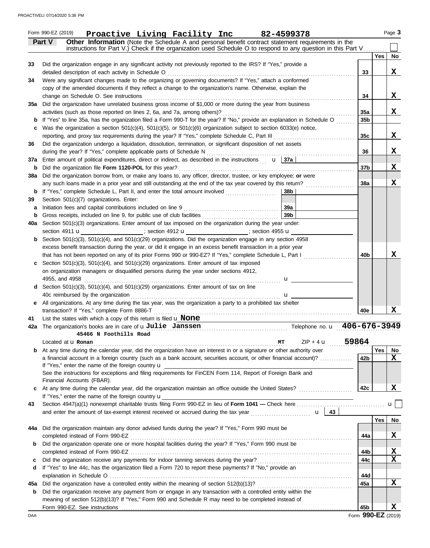|     | Form 990-EZ (2019)        | Proactive Living Facility Inc                                                                                                                         |  |  |  | 82-4599378                                                                                                                                                                                                           |                 |     | Page 3  |
|-----|---------------------------|-------------------------------------------------------------------------------------------------------------------------------------------------------|--|--|--|----------------------------------------------------------------------------------------------------------------------------------------------------------------------------------------------------------------------|-----------------|-----|---------|
|     | Part V                    |                                                                                                                                                       |  |  |  | Other Information (Note the Schedule A and personal benefit contract statement requirements in the<br>instructions for Part V.) Check if the organization used Schedule O to respond to any question in this Part V. |                 |     |         |
|     |                           |                                                                                                                                                       |  |  |  |                                                                                                                                                                                                                      |                 | Yes | No      |
| 33  |                           | Did the organization engage in any significant activity not previously reported to the IRS? If "Yes," provide a                                       |  |  |  |                                                                                                                                                                                                                      |                 |     |         |
|     |                           | detailed description of each activity in Schedule O                                                                                                   |  |  |  |                                                                                                                                                                                                                      | 33              |     | X       |
| 34  |                           | Were any significant changes made to the organizing or governing documents? If "Yes," attach a conformed                                              |  |  |  |                                                                                                                                                                                                                      |                 |     |         |
|     |                           | copy of the amended documents if they reflect a change to the organization's name. Otherwise, explain the                                             |  |  |  |                                                                                                                                                                                                                      |                 |     |         |
|     |                           | change on Schedule O. See instructions                                                                                                                |  |  |  |                                                                                                                                                                                                                      | 34              |     | X       |
| 35а |                           | Did the organization have unrelated business gross income of \$1,000 or more during the year from business                                            |  |  |  |                                                                                                                                                                                                                      |                 |     |         |
|     |                           | activities (such as those reported on lines 2, 6a, and 7a, among others)?                                                                             |  |  |  |                                                                                                                                                                                                                      | 35a             |     | X       |
| b   |                           |                                                                                                                                                       |  |  |  | If "Yes" to line 35a, has the organization filed a Form 990-T for the year? If "No," provide an explanation in Schedule O                                                                                            | 35 <sub>b</sub> |     |         |
| c   |                           | Was the organization a section $501(c)(4)$ , $501(c)(5)$ , or $501(c)(6)$ organization subject to section $6033(e)$ notice,                           |  |  |  |                                                                                                                                                                                                                      |                 |     |         |
|     |                           | reporting, and proxy tax requirements during the year? If "Yes," complete Schedule C, Part III                                                        |  |  |  |                                                                                                                                                                                                                      | 35c             |     | X       |
| 36  |                           | Did the organization undergo a liquidation, dissolution, termination, or significant disposition of net assets                                        |  |  |  |                                                                                                                                                                                                                      |                 |     |         |
|     |                           | during the year? If "Yes," complete applicable parts of Schedule N                                                                                    |  |  |  |                                                                                                                                                                                                                      | 36              |     | X       |
| 37a |                           | Enter amount of political expenditures, direct or indirect, as described in the instructions $\mathbf{u}$   37a                                       |  |  |  |                                                                                                                                                                                                                      |                 |     |         |
| b   |                           | Did the organization file Form 1120-POL for this year?                                                                                                |  |  |  |                                                                                                                                                                                                                      | 37b             |     | X       |
| 38а |                           | Did the organization borrow from, or make any loans to, any officer, director, trustee, or key employee; or were                                      |  |  |  |                                                                                                                                                                                                                      |                 |     |         |
|     |                           | any such loans made in a prior year and still outstanding at the end of the tax year covered by this return?                                          |  |  |  |                                                                                                                                                                                                                      | 38a             |     | X       |
| b   |                           | If "Yes," complete Schedule L, Part II, and enter the total amount involved                                                                           |  |  |  | 38b                                                                                                                                                                                                                  |                 |     |         |
| 39  |                           | Section 501(c)(7) organizations. Enter:                                                                                                               |  |  |  |                                                                                                                                                                                                                      |                 |     |         |
| a   |                           | Initiation fees and capital contributions included on line 9                                                                                          |  |  |  | 39a                                                                                                                                                                                                                  |                 |     |         |
| b   |                           | Gross receipts, included on line 9, for public use of club facilities [11] [12] Cross receipts, included on line 9, for public use of club facilities |  |  |  | 39 <sub>b</sub>                                                                                                                                                                                                      |                 |     |         |
| 40a |                           | Section 501(c)(3) organizations. Enter amount of tax imposed on the organization during the year under:                                               |  |  |  |                                                                                                                                                                                                                      |                 |     |         |
|     |                           |                                                                                                                                                       |  |  |  |                                                                                                                                                                                                                      |                 |     |         |
| b   |                           | Section 501(c)(3), 501(c)(4), and 501(c)(29) organizations. Did the organization engage in any section 4958                                           |  |  |  |                                                                                                                                                                                                                      |                 |     |         |
|     |                           | excess benefit transaction during the year, or did it engage in an excess benefit transaction in a prior year                                         |  |  |  |                                                                                                                                                                                                                      |                 |     |         |
|     |                           | that has not been reported on any of its prior Forms 990 or 990-EZ? If "Yes," complete Schedule L, Part I                                             |  |  |  |                                                                                                                                                                                                                      | 40b             |     | x       |
| C   |                           | Section $501(c)(3)$ , $501(c)(4)$ , and $501(c)(29)$ organizations. Enter amount of tax imposed                                                       |  |  |  |                                                                                                                                                                                                                      |                 |     |         |
|     |                           | on organization managers or disqualified persons during the year under sections 4912,                                                                 |  |  |  |                                                                                                                                                                                                                      |                 |     |         |
|     | 4955, and 4958            |                                                                                                                                                       |  |  |  | u.                                                                                                                                                                                                                   |                 |     |         |
|     |                           | d Section 501(c)(3), 501(c)(4), and 501(c)(29) organizations. Enter amount of tax on line                                                             |  |  |  |                                                                                                                                                                                                                      |                 |     |         |
|     |                           | 40c reimbursed by the organization                                                                                                                    |  |  |  | u                                                                                                                                                                                                                    |                 |     |         |
| е   |                           | All organizations. At any time during the tax year, was the organization a party to a prohibited tax shelter                                          |  |  |  |                                                                                                                                                                                                                      |                 |     |         |
|     |                           | transaction? If "Yes," complete Form 8886-T                                                                                                           |  |  |  |                                                                                                                                                                                                                      | 40e             |     | X.      |
| 41  |                           | List the states with which a copy of this return is filed $\bf{u}$ None                                                                               |  |  |  |                                                                                                                                                                                                                      |                 |     |         |
|     |                           | 42a The organization's books are in care of $u$ Julie Janssen $\ldots$ $\dots$ $\dots$ $\dots$ $\dots$ $\dots$ $\dots$<br>45466 N Foothills Road      |  |  |  | Telephone no. u 406-676-3949                                                                                                                                                                                         |                 |     |         |
|     | Located at <b>u</b> Ronan |                                                                                                                                                       |  |  |  | $ZIP + 4$ <b>u</b><br>МT                                                                                                                                                                                             | 59864           |     |         |
|     |                           |                                                                                                                                                       |  |  |  | At any time during the calendar year, did the organization have an interest in or a signature or other authority over                                                                                                |                 | Yes |         |
| b   |                           |                                                                                                                                                       |  |  |  | a financial account in a foreign country (such as a bank account, securities account, or other financial account)?                                                                                                   | 42b             |     | No<br>X |
|     |                           | If "Yes," enter the name of the foreign country <b>u</b>                                                                                              |  |  |  |                                                                                                                                                                                                                      |                 |     |         |
|     |                           | See the instructions for exceptions and filing requirements for FinCEN Form 114, Report of Foreign Bank and                                           |  |  |  |                                                                                                                                                                                                                      |                 |     |         |
|     |                           | Financial Accounts (FBAR).                                                                                                                            |  |  |  |                                                                                                                                                                                                                      |                 |     |         |
| c   |                           |                                                                                                                                                       |  |  |  | At any time during the calendar year, did the organization maintain an office outside the United States?                                                                                                             | 42c             |     | X       |
|     |                           | If "Yes," enter the name of the foreign country $\mathbf u$                                                                                           |  |  |  |                                                                                                                                                                                                                      |                 |     |         |
| 43  |                           |                                                                                                                                                       |  |  |  |                                                                                                                                                                                                                      |                 |     | u l     |
|     |                           |                                                                                                                                                       |  |  |  | and enter the amount of tax-exempt interest received or accrued during the tax year $\cdots$ $\cdots$ $\cdots$ $\cdots$ $\cdots$                                                                                     |                 |     |         |
|     |                           |                                                                                                                                                       |  |  |  |                                                                                                                                                                                                                      |                 | Yes | No      |
| 44a |                           | Did the organization maintain any donor advised funds during the year? If "Yes," Form 990 must be                                                     |  |  |  |                                                                                                                                                                                                                      |                 |     |         |
|     |                           | completed instead of Form 990-EZ                                                                                                                      |  |  |  |                                                                                                                                                                                                                      | 44a             |     | X       |
| b   |                           | Did the organization operate one or more hospital facilities during the year? If "Yes," Form 990 must be                                              |  |  |  |                                                                                                                                                                                                                      |                 |     |         |
|     |                           |                                                                                                                                                       |  |  |  |                                                                                                                                                                                                                      | 44b             |     | X       |
| с   |                           |                                                                                                                                                       |  |  |  |                                                                                                                                                                                                                      | 44c             |     | X       |
| d   |                           | If "Yes" to line 44c, has the organization filed a Form 720 to report these payments? If "No," provide an                                             |  |  |  |                                                                                                                                                                                                                      |                 |     |         |
|     |                           |                                                                                                                                                       |  |  |  |                                                                                                                                                                                                                      | 44d             |     |         |
| 45а |                           | Did the organization have a controlled entity within the meaning of section 512(b)(13)?                                                               |  |  |  |                                                                                                                                                                                                                      | 45a             |     | x       |
| b   |                           | Did the organization receive any payment from or engage in any transaction with a controlled entity within the                                        |  |  |  |                                                                                                                                                                                                                      |                 |     |         |
|     |                           | meaning of section 512(b)(13)? If "Yes," Form 990 and Schedule R may need to be completed instead of                                                  |  |  |  |                                                                                                                                                                                                                      |                 |     |         |
|     |                           |                                                                                                                                                       |  |  |  |                                                                                                                                                                                                                      | 45b             |     | X       |
|     |                           |                                                                                                                                                       |  |  |  |                                                                                                                                                                                                                      |                 |     |         |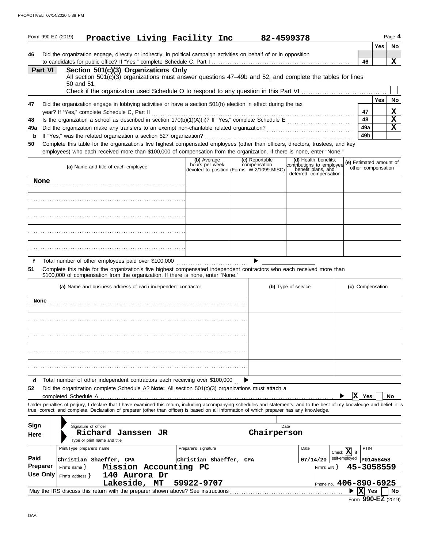|           | Form 990-EZ (2019) |                      |                                                            |           | Proactive Living Facility Inc                                                                                                           |                         |  | 82-4599378                                                                                                                                                                                                                                                                                                               |                     |                                                                          |                                             |             |                                               | Page 4           |
|-----------|--------------------|----------------------|------------------------------------------------------------|-----------|-----------------------------------------------------------------------------------------------------------------------------------------|-------------------------|--|--------------------------------------------------------------------------------------------------------------------------------------------------------------------------------------------------------------------------------------------------------------------------------------------------------------------------|---------------------|--------------------------------------------------------------------------|---------------------------------------------|-------------|-----------------------------------------------|------------------|
| 46        |                    |                      |                                                            |           |                                                                                                                                         |                         |  | Did the organization engage, directly or indirectly, in political campaign activities on behalf of or in opposition                                                                                                                                                                                                      |                     |                                                                          |                                             | 46          | Yes                                           | No<br>X          |
|           | Part VI            |                      | 50 and 51.                                                 |           | Section 501(c)(3) Organizations Only                                                                                                    |                         |  | All section 501(c)(3) organizations must answer questions 47-49b and 52, and complete the tables for lines                                                                                                                                                                                                               |                     |                                                                          |                                             |             |                                               |                  |
| 47        |                    |                      |                                                            |           |                                                                                                                                         |                         |  | Did the organization engage in lobbying activities or have a section 501(h) election in effect during the tax                                                                                                                                                                                                            |                     |                                                                          |                                             |             | Yes                                           | No               |
|           |                    |                      | year? If "Yes," complete Schedule C, Part II               |           |                                                                                                                                         |                         |  |                                                                                                                                                                                                                                                                                                                          |                     |                                                                          |                                             | 47          |                                               | X                |
| 48<br>49a |                    |                      |                                                            |           |                                                                                                                                         |                         |  |                                                                                                                                                                                                                                                                                                                          |                     |                                                                          |                                             | 48<br>49a   |                                               | X<br>$\mathbf X$ |
| b         |                    |                      |                                                            |           | If "Yes," was the related organization a section 527 organization?                                                                      |                         |  |                                                                                                                                                                                                                                                                                                                          |                     |                                                                          |                                             | 49b         |                                               |                  |
| 50        |                    |                      |                                                            |           |                                                                                                                                         |                         |  | Complete this table for the organization's five highest compensated employees (other than officers, directors, trustees, and key                                                                                                                                                                                         |                     |                                                                          |                                             |             |                                               |                  |
|           |                    |                      |                                                            |           |                                                                                                                                         | (b) Average             |  | employees) who each received more than \$100,000 of compensation from the organization. If there is none, enter "None."<br>(c) Reportable                                                                                                                                                                                |                     | (d) Health benefits,                                                     |                                             |             |                                               |                  |
|           |                    |                      | (a) Name and title of each employee                        |           |                                                                                                                                         | hours per week          |  | compensation<br>devoted to position (Forms W-2/1099-MISC)                                                                                                                                                                                                                                                                |                     | contributions to employee<br>penefit plans, and<br>deferred compensation |                                             |             | (e) Estimated amount of<br>other compensation |                  |
|           | None               |                      |                                                            |           |                                                                                                                                         |                         |  |                                                                                                                                                                                                                                                                                                                          |                     |                                                                          |                                             |             |                                               |                  |
|           |                    |                      |                                                            |           |                                                                                                                                         |                         |  |                                                                                                                                                                                                                                                                                                                          |                     |                                                                          |                                             |             |                                               |                  |
|           |                    |                      |                                                            |           |                                                                                                                                         |                         |  |                                                                                                                                                                                                                                                                                                                          |                     |                                                                          |                                             |             |                                               |                  |
|           |                    |                      |                                                            |           |                                                                                                                                         |                         |  |                                                                                                                                                                                                                                                                                                                          |                     |                                                                          |                                             |             |                                               |                  |
|           |                    |                      |                                                            |           |                                                                                                                                         |                         |  |                                                                                                                                                                                                                                                                                                                          |                     |                                                                          |                                             |             |                                               |                  |
| f<br>51   |                    |                      |                                                            |           | Total number of other employees paid over \$100,000<br>\$100,000 of compensation from the organization. If there is none, enter "None." |                         |  | Complete this table for the organization's five highest compensated independent contractors who each received more than                                                                                                                                                                                                  |                     |                                                                          |                                             |             |                                               |                  |
|           |                    |                      |                                                            |           | (a) Name and business address of each independent contractor                                                                            |                         |  |                                                                                                                                                                                                                                                                                                                          | (b) Type of service |                                                                          |                                             |             | (c) Compensation                              |                  |
|           | None               |                      |                                                            |           |                                                                                                                                         |                         |  |                                                                                                                                                                                                                                                                                                                          |                     |                                                                          |                                             |             |                                               |                  |
|           |                    |                      |                                                            |           |                                                                                                                                         |                         |  |                                                                                                                                                                                                                                                                                                                          |                     |                                                                          |                                             |             |                                               |                  |
|           |                    |                      |                                                            |           |                                                                                                                                         |                         |  |                                                                                                                                                                                                                                                                                                                          |                     |                                                                          |                                             |             |                                               |                  |
|           |                    |                      |                                                            |           |                                                                                                                                         |                         |  |                                                                                                                                                                                                                                                                                                                          |                     |                                                                          |                                             |             |                                               |                  |
|           |                    |                      |                                                            |           |                                                                                                                                         |                         |  |                                                                                                                                                                                                                                                                                                                          |                     |                                                                          |                                             |             |                                               |                  |
| d         |                    |                      |                                                            |           | Total number of other independent contractors each receiving over \$100,000                                                             |                         |  |                                                                                                                                                                                                                                                                                                                          |                     |                                                                          |                                             |             |                                               |                  |
| 52        |                    | completed Schedule A |                                                            |           |                                                                                                                                         |                         |  | Did the organization complete Schedule A? Note: All section 501(c)(3) organizations must attach a                                                                                                                                                                                                                        |                     |                                                                          | х                                           | Yes         |                                               | No               |
|           |                    |                      |                                                            |           |                                                                                                                                         |                         |  | Under penalties of perjury, I declare that I have examined this return, including accompanying schedules and statements, and to the best of my knowledge and belief, it is<br>true, correct, and complete. Declaration of preparer (other than officer) is based on all information of which preparer has any knowledge. |                     |                                                                          |                                             |             |                                               |                  |
| Sign      |                    |                      | Signature of officer                                       |           |                                                                                                                                         |                         |  |                                                                                                                                                                                                                                                                                                                          | Date                |                                                                          |                                             |             |                                               |                  |
| Here      |                    |                      | Richard                                                    |           | Janssen JR                                                                                                                              |                         |  | Chairperson                                                                                                                                                                                                                                                                                                              |                     |                                                                          |                                             |             |                                               |                  |
|           |                    |                      | Type or print name and title<br>Print/Type preparer's name |           |                                                                                                                                         | Preparer's signature    |  |                                                                                                                                                                                                                                                                                                                          | Date                |                                                                          |                                             | <b>PTIN</b> |                                               |                  |
| Paid      |                    |                      | Christian Shaeffer, CPA                                    |           |                                                                                                                                         | Christian Shaeffer, CPA |  |                                                                                                                                                                                                                                                                                                                          |                     | 07/14/20                                                                 | Check $ \mathbf{X} $<br>if<br>self-employed |             | P01458458                                     |                  |
|           | <b>Preparer</b>    | Firm's name $\}$     |                                                            |           | Mission Accounting PC                                                                                                                   |                         |  |                                                                                                                                                                                                                                                                                                                          |                     | Firm's EIN }                                                             |                                             |             | 45-3058559                                    |                  |
|           | Use Only           | Firm's address $\}$  |                                                            |           | 140 Aurora Dr                                                                                                                           |                         |  |                                                                                                                                                                                                                                                                                                                          |                     |                                                                          |                                             |             |                                               |                  |
|           |                    |                      |                                                            | Lakeside, | МT                                                                                                                                      | 59922-9707              |  | May the IRS discuss this return with the preparer shown above? See instructions                                                                                                                                                                                                                                          |                     | Phone no. 406-890-6925                                                   |                                             | $ X $ Yes   |                                               | <b>No</b>        |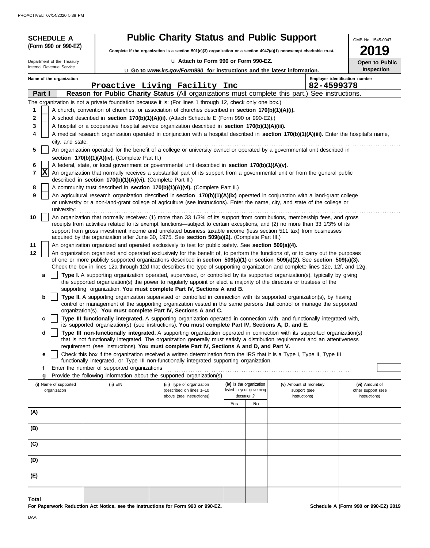|       | <b>SCHEDULE A</b>          |                                                            | <b>Public Charity Status and Public Support</b>                                                                                                                                                                                                                |     |                          |                        |            | OMB No. 1545-0047              |
|-------|----------------------------|------------------------------------------------------------|----------------------------------------------------------------------------------------------------------------------------------------------------------------------------------------------------------------------------------------------------------------|-----|--------------------------|------------------------|------------|--------------------------------|
|       | (Form 990 or 990-EZ)       |                                                            | Complete if the organization is a section $501(c)(3)$ organization or a section $4947(a)(1)$ nonexempt charitable trust.                                                                                                                                       |     |                          |                        |            | 9                              |
|       | Department of the Treasury |                                                            | La Attach to Form 990 or Form 990-EZ.                                                                                                                                                                                                                          |     |                          |                        |            |                                |
|       | Internal Revenue Service   |                                                            | u Go to www.irs.gov/Form990 for instructions and the latest information.                                                                                                                                                                                       |     |                          |                        |            | Open to Public<br>Inspection   |
|       | Name of the organization   |                                                            | Proactive Living Facility Inc                                                                                                                                                                                                                                  |     |                          |                        | 82-4599378 | Employer identification number |
|       | Part I                     |                                                            | Reason for Public Charity Status (All organizations must complete this part.) See instructions.                                                                                                                                                                |     |                          |                        |            |                                |
|       |                            |                                                            | The organization is not a private foundation because it is: (For lines 1 through 12, check only one box.)                                                                                                                                                      |     |                          |                        |            |                                |
| 1     |                            |                                                            | A church, convention of churches, or association of churches described in section 170(b)(1)(A)(i).                                                                                                                                                             |     |                          |                        |            |                                |
| 2     |                            |                                                            | A school described in section 170(b)(1)(A)(ii). (Attach Schedule E (Form 990 or 990-EZ).)                                                                                                                                                                      |     |                          |                        |            |                                |
| 3     |                            |                                                            | A hospital or a cooperative hospital service organization described in section 170(b)(1)(A)(iii).                                                                                                                                                              |     |                          |                        |            |                                |
| 4     |                            |                                                            | A medical research organization operated in conjunction with a hospital described in section 170(b)(1)(A)(iii). Enter the hospital's name,                                                                                                                     |     |                          |                        |            |                                |
| 5     |                            |                                                            | An organization operated for the benefit of a college or university owned or operated by a governmental unit described in                                                                                                                                      |     |                          |                        |            |                                |
|       |                            | section 170(b)(1)(A)(iv). (Complete Part II.)              |                                                                                                                                                                                                                                                                |     |                          |                        |            |                                |
| 6     |                            |                                                            | A federal, state, or local government or governmental unit described in section 170(b)(1)(A)(v).                                                                                                                                                               |     |                          |                        |            |                                |
| 7     | $ {\bf x} $                |                                                            | An organization that normally receives a substantial part of its support from a governmental unit or from the general public                                                                                                                                   |     |                          |                        |            |                                |
| 8     |                            | described in section 170(b)(1)(A)(vi). (Complete Part II.) | A community trust described in section 170(b)(1)(A)(vi). (Complete Part II.)                                                                                                                                                                                   |     |                          |                        |            |                                |
| 9     |                            |                                                            | An agricultural research organization described in section 170(b)(1)(A)(ix) operated in conjunction with a land-grant college                                                                                                                                  |     |                          |                        |            |                                |
|       | university:                |                                                            | or university or a non-land-grant college of agriculture (see instructions). Enter the name, city, and state of the college or                                                                                                                                 |     |                          |                        |            |                                |
| 10    |                            |                                                            | An organization that normally receives: (1) more than 33 1/3% of its support from contributions, membership fees, and gross                                                                                                                                    |     |                          |                        |            |                                |
|       |                            |                                                            | receipts from activities related to its exempt functions—subject to certain exceptions, and (2) no more than 33 1/3% of its                                                                                                                                    |     |                          |                        |            |                                |
|       |                            |                                                            | support from gross investment income and unrelated business taxable income (less section 511 tax) from businesses<br>acquired by the organization after June 30, 1975. See section 509(a)(2). (Complete Part III.)                                             |     |                          |                        |            |                                |
| 11    |                            |                                                            | An organization organized and operated exclusively to test for public safety. See section 509(a)(4).                                                                                                                                                           |     |                          |                        |            |                                |
| 12    |                            |                                                            | An organization organized and operated exclusively for the benefit of, to perform the functions of, or to carry out the purposes                                                                                                                               |     |                          |                        |            |                                |
|       |                            |                                                            | of one or more publicly supported organizations described in section 509(a)(1) or section 509(a)(2). See section 509(a)(3).                                                                                                                                    |     |                          |                        |            |                                |
|       | a                          |                                                            | Check the box in lines 12a through 12d that describes the type of supporting organization and complete lines 12e, 12f, and 12g.<br>Type I. A supporting organization operated, supervised, or controlled by its supported organization(s), typically by giving |     |                          |                        |            |                                |
|       |                            |                                                            | the supported organization(s) the power to regularly appoint or elect a majority of the directors or trustees of the                                                                                                                                           |     |                          |                        |            |                                |
|       |                            |                                                            | supporting organization. You must complete Part IV, Sections A and B.                                                                                                                                                                                          |     |                          |                        |            |                                |
|       | b                          |                                                            | Type II. A supporting organization supervised or controlled in connection with its supported organization(s), by having                                                                                                                                        |     |                          |                        |            |                                |
|       |                            |                                                            | control or management of the supporting organization vested in the same persons that control or manage the supported<br>organization(s). You must complete Part IV, Sections A and C.                                                                          |     |                          |                        |            |                                |
|       | c                          |                                                            | Type III functionally integrated. A supporting organization operated in connection with, and functionally integrated with,                                                                                                                                     |     |                          |                        |            |                                |
|       |                            |                                                            | its supported organization(s) (see instructions). You must complete Part IV, Sections A, D, and E.                                                                                                                                                             |     |                          |                        |            |                                |
|       | d                          |                                                            | Type III non-functionally integrated. A supporting organization operated in connection with its supported organization(s)<br>that is not functionally integrated. The organization generally must satisfy a distribution requirement and an attentiveness      |     |                          |                        |            |                                |
|       |                            |                                                            | requirement (see instructions). You must complete Part IV, Sections A and D, and Part V.                                                                                                                                                                       |     |                          |                        |            |                                |
|       | е                          |                                                            | Check this box if the organization received a written determination from the IRS that it is a Type I, Type II, Type III                                                                                                                                        |     |                          |                        |            |                                |
|       |                            | Enter the number of supported organizations                | functionally integrated, or Type III non-functionally integrated supporting organization.                                                                                                                                                                      |     |                          |                        |            |                                |
|       | f<br>g                     |                                                            | Provide the following information about the supported organization(s).                                                                                                                                                                                         |     |                          |                        |            |                                |
|       | (i) Name of supported      | (ii) EIN                                                   | (iii) Type of organization                                                                                                                                                                                                                                     |     | (iv) Is the organization | (v) Amount of monetary |            | (vi) Amount of                 |
|       | organization               |                                                            | (described on lines 1-10                                                                                                                                                                                                                                       |     | listed in your governing | support (see           |            | other support (see             |
|       |                            |                                                            | above (see instructions))                                                                                                                                                                                                                                      | Yes | document?<br>No          | instructions)          |            | instructions)                  |
| (A)   |                            |                                                            |                                                                                                                                                                                                                                                                |     |                          |                        |            |                                |
|       |                            |                                                            |                                                                                                                                                                                                                                                                |     |                          |                        |            |                                |
| (B)   |                            |                                                            |                                                                                                                                                                                                                                                                |     |                          |                        |            |                                |
| (C)   |                            |                                                            |                                                                                                                                                                                                                                                                |     |                          |                        |            |                                |
|       |                            |                                                            |                                                                                                                                                                                                                                                                |     |                          |                        |            |                                |
| (D)   |                            |                                                            |                                                                                                                                                                                                                                                                |     |                          |                        |            |                                |
| (E)   |                            |                                                            |                                                                                                                                                                                                                                                                |     |                          |                        |            |                                |
|       |                            |                                                            |                                                                                                                                                                                                                                                                |     |                          |                        |            |                                |
| Total |                            |                                                            |                                                                                                                                                                                                                                                                |     |                          |                        |            |                                |

**For Paperwork Reduction Act Notice, see the Instructions for Form 990 or 990-EZ.**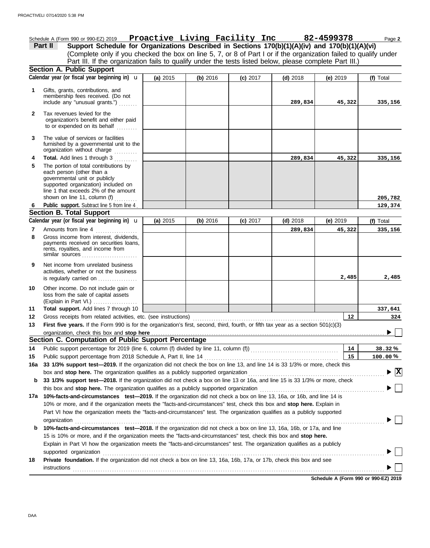|              | Schedule A (Form 990 or 990-EZ) 2019 Proactive Living Facility Inc 82-4599378<br>Support Schedule for Organizations Described in Sections 170(b)(1)(A)(iv) and 170(b)(1)(A)(vi)<br>Part II<br>(Complete only if you checked the box on line 5, 7, or 8 of Part I or if the organization failed to qualify under<br>Part III. If the organization fails to qualify under the tests listed below, please complete Part III.) |          |          |          |            |                                      | Page 2                          |
|--------------|----------------------------------------------------------------------------------------------------------------------------------------------------------------------------------------------------------------------------------------------------------------------------------------------------------------------------------------------------------------------------------------------------------------------------|----------|----------|----------|------------|--------------------------------------|---------------------------------|
|              | <b>Section A. Public Support</b>                                                                                                                                                                                                                                                                                                                                                                                           |          |          |          |            |                                      |                                 |
|              | Calendar year (or fiscal year beginning in) $\mathbf u$                                                                                                                                                                                                                                                                                                                                                                    | (a) 2015 | (b) 2016 | (c) 2017 | $(d)$ 2018 | (e) $2019$                           | (f) Total                       |
| 1            | Gifts, grants, contributions, and<br>membership fees received. (Do not<br>include any "unusual grants.")                                                                                                                                                                                                                                                                                                                   |          |          |          | 289,834    | 45,322                               | 335,156                         |
| $\mathbf{2}$ | Tax revenues levied for the<br>organization's benefit and either paid<br>to or expended on its behalf                                                                                                                                                                                                                                                                                                                      |          |          |          |            |                                      |                                 |
| 3            | The value of services or facilities<br>furnished by a governmental unit to the<br>organization without charge                                                                                                                                                                                                                                                                                                              |          |          |          |            |                                      |                                 |
| 4            | Total. Add lines 1 through 3                                                                                                                                                                                                                                                                                                                                                                                               |          |          |          | 289,834    | 45,322                               | 335,156                         |
| 5            | The portion of total contributions by<br>each person (other than a<br>governmental unit or publicly<br>supported organization) included on<br>line 1 that exceeds 2% of the amount<br>shown on line 11, column (f) $\ldots$                                                                                                                                                                                                |          |          |          |            |                                      | 205,782                         |
| 6            | Public support. Subtract line 5 from line 4.                                                                                                                                                                                                                                                                                                                                                                               |          |          |          |            |                                      | 129,374                         |
|              | <b>Section B. Total Support</b>                                                                                                                                                                                                                                                                                                                                                                                            |          |          |          |            |                                      |                                 |
|              | Calendar year (or fiscal year beginning in) <b>u</b>                                                                                                                                                                                                                                                                                                                                                                       | (a) 2015 | (b) 2016 | (c) 2017 | $(d)$ 2018 | (e) $2019$                           | (f) Total                       |
| 7            | Amounts from line 4                                                                                                                                                                                                                                                                                                                                                                                                        |          |          |          | 289,834    | 45,322                               | 335,156                         |
| 8            | Gross income from interest, dividends,<br>payments received on securities loans,<br>rents, royalties, and income from<br>similar sources                                                                                                                                                                                                                                                                                   |          |          |          |            |                                      |                                 |
| 9            | Net income from unrelated business<br>activities, whether or not the business<br>is regularly carried on                                                                                                                                                                                                                                                                                                                   |          |          |          |            | 2,485                                | 2,485                           |
| 10           | Other income. Do not include gain or<br>loss from the sale of capital assets<br>(Explain in Part VI.)                                                                                                                                                                                                                                                                                                                      |          |          |          |            |                                      |                                 |
| 11           | Total support. Add lines 7 through 10                                                                                                                                                                                                                                                                                                                                                                                      |          |          |          |            |                                      | 337,641                         |
| 12           |                                                                                                                                                                                                                                                                                                                                                                                                                            |          |          |          |            | 12                                   | 324                             |
| 13           | First five years. If the Form 990 is for the organization's first, second, third, fourth, or fifth tax year as a section 501(c)(3)                                                                                                                                                                                                                                                                                         |          |          |          |            |                                      |                                 |
|              |                                                                                                                                                                                                                                                                                                                                                                                                                            |          |          |          |            |                                      | $\overline{\phantom{0}}$        |
|              | Section C. Computation of Public Support Percentage                                                                                                                                                                                                                                                                                                                                                                        |          |          |          |            |                                      |                                 |
| 14           |                                                                                                                                                                                                                                                                                                                                                                                                                            |          |          |          |            | 14                                   | 38.32%                          |
| 15           |                                                                                                                                                                                                                                                                                                                                                                                                                            |          |          |          |            | 15                                   | 100.00%                         |
| 16а          | 33 1/3% support test-2019. If the organization did not check the box on line 13, and line 14 is 33 1/3% or more, check this                                                                                                                                                                                                                                                                                                |          |          |          |            |                                      |                                 |
|              |                                                                                                                                                                                                                                                                                                                                                                                                                            |          |          |          |            |                                      | $\blacktriangleright$ $\vert$ X |
| b            | 33 1/3% support test-2018. If the organization did not check a box on line 13 or 16a, and line 15 is 33 1/3% or more, check                                                                                                                                                                                                                                                                                                |          |          |          |            |                                      |                                 |
|              | this box and stop here. The organization qualifies as a publicly supported organization                                                                                                                                                                                                                                                                                                                                    |          |          |          |            |                                      |                                 |
|              | 17a 10%-facts-and-circumstances test-2019. If the organization did not check a box on line 13, 16a, or 16b, and line 14 is                                                                                                                                                                                                                                                                                                 |          |          |          |            |                                      |                                 |
|              | 10% or more, and if the organization meets the "facts-and-circumstances" test, check this box and stop here. Explain in                                                                                                                                                                                                                                                                                                    |          |          |          |            |                                      |                                 |
|              | Part VI how the organization meets the "facts-and-circumstances" test. The organization qualifies as a publicly supported                                                                                                                                                                                                                                                                                                  |          |          |          |            |                                      |                                 |
|              | organization                                                                                                                                                                                                                                                                                                                                                                                                               |          |          |          |            |                                      |                                 |
| b            | 10%-facts-and-circumstances test-2018. If the organization did not check a box on line 13, 16a, 16b, or 17a, and line                                                                                                                                                                                                                                                                                                      |          |          |          |            |                                      |                                 |
|              | 15 is 10% or more, and if the organization meets the "facts-and-circumstances" test, check this box and stop here.<br>Explain in Part VI how the organization meets the "facts-and-circumstances" test. The organization qualifies as a publicly                                                                                                                                                                           |          |          |          |            |                                      |                                 |
|              | supported organization contains and contains a supported organization of the supported organization contains and contains a supported organization contains a supported or supported or supported or supported or support of t                                                                                                                                                                                             |          |          |          |            |                                      |                                 |
| 18           | Private foundation. If the organization did not check a box on line 13, 16a, 16b, 17a, or 17b, check this box and see<br><b>instructions</b>                                                                                                                                                                                                                                                                               |          |          |          |            |                                      |                                 |
|              |                                                                                                                                                                                                                                                                                                                                                                                                                            |          |          |          |            | Schodule A (Form 990 or 990-F7) 2019 |                                 |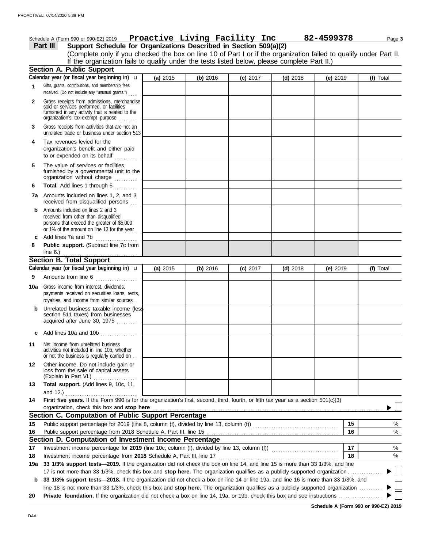## **Part III Support Schedule for Organizations Described in Section 509(a)(2)** Schedule A (Form 990 or 990-EZ) 2019 Page **3 Proactive Living Facility Inc 82-4599378**

(Complete only if you checked the box on line 10 of Part I or if the organization failed to qualify under Part II. If the organization fails to qualify under the tests listed below, please complete Part II.)

|     | <b>Section A. Public Support</b>                                                                                                                                                  |            |          |            |            |            |           |
|-----|-----------------------------------------------------------------------------------------------------------------------------------------------------------------------------------|------------|----------|------------|------------|------------|-----------|
|     | Calendar year (or fiscal year beginning in) $\mathbf u$                                                                                                                           | (a) 2015   | (b) 2016 | $(c)$ 2017 | $(d)$ 2018 | (e) $2019$ | (f) Total |
| 1   | Gifts, grants, contributions, and membership fees<br>received. (Do not include any "unusual grants.")                                                                             |            |          |            |            |            |           |
| 2   | Gross receipts from admissions, merchandise<br>sold or services performed, or facilities<br>furnished in any activity that is related to the<br>organization's tax-exempt purpose |            |          |            |            |            |           |
| 3   | Gross receipts from activities that are not an<br>unrelated trade or business under section 513                                                                                   |            |          |            |            |            |           |
| 4   | Tax revenues levied for the<br>organization's benefit and either paid<br>to or expended on its behalf                                                                             |            |          |            |            |            |           |
| 5   | The value of services or facilities<br>furnished by a governmental unit to the<br>organization without charge<br>.                                                                |            |          |            |            |            |           |
| 6   | Total. Add lines 1 through 5                                                                                                                                                      |            |          |            |            |            |           |
|     | <b>7a</b> Amounts included on lines 1, 2, and 3<br>received from disqualified persons                                                                                             |            |          |            |            |            |           |
| b   | Amounts included on lines 2 and 3<br>received from other than disqualified<br>persons that exceed the greater of \$5,000<br>or 1% of the amount on line 13 for the year           |            |          |            |            |            |           |
| c   | Add lines 7a and 7b                                                                                                                                                               |            |          |            |            |            |           |
| 8   | Public support. (Subtract line 7c from                                                                                                                                            |            |          |            |            |            |           |
|     | line 6.) $\frac{1}{2}$                                                                                                                                                            |            |          |            |            |            |           |
|     | <b>Section B. Total Support</b><br>Calendar year (or fiscal year beginning in) <b>u</b>                                                                                           |            |          |            |            |            |           |
|     |                                                                                                                                                                                   | (a) $2015$ | (b) 2016 | $(c)$ 2017 | $(d)$ 2018 | $(e)$ 2019 | (f) Total |
| 9   | Amounts from line 6                                                                                                                                                               |            |          |            |            |            |           |
| 10a | Gross income from interest, dividends,<br>payments received on securities loans, rents,<br>royalties, and income from similar sources                                             |            |          |            |            |            |           |
| b   | Unrelated business taxable income (less<br>section 511 taxes) from businesses<br>acquired after June 30, 1975                                                                     |            |          |            |            |            |           |
| c   | Add lines 10a and 10b                                                                                                                                                             |            |          |            |            |            |           |
| 11  | Net income from unrelated business<br>activities not included in line 10b, whether<br>or not the business is regularly carried on                                                 |            |          |            |            |            |           |
| 12  | Other income. Do not include gain or<br>loss from the sale of capital assets<br>(Explain in Part VI.)                                                                             |            |          |            |            |            |           |
| 13  | Total support. (Add lines 9, 10c, 11,                                                                                                                                             |            |          |            |            |            |           |
|     | and 12.)<br>.                                                                                                                                                                     |            |          |            |            |            |           |
| 14  | First five years. If the Form 990 is for the organization's first, second, third, fourth, or fifth tax year as a section 501(c)(3)                                                |            |          |            |            |            |           |
|     | organization, check this box and stop here                                                                                                                                        |            |          |            |            |            |           |
|     | Section C. Computation of Public Support Percentage                                                                                                                               |            |          |            |            | 15         |           |
| 15  |                                                                                                                                                                                   |            |          |            |            |            | %         |
| 16  | Section D. Computation of Investment Income Percentage                                                                                                                            |            |          |            |            | 16         | %         |
| 17  |                                                                                                                                                                                   |            |          |            |            | 17         | %         |
| 18  | Investment income percentage from 2018 Schedule A, Part III, line 17                                                                                                              |            |          |            |            | 18         | %         |
| 19a | 33 1/3% support tests-2019. If the organization did not check the box on line 14, and line 15 is more than 33 1/3%, and line                                                      |            |          |            |            |            |           |
|     | 17 is not more than 33 1/3%, check this box and stop here. The organization qualifies as a publicly supported organization.                                                       |            |          |            |            |            |           |
| b   | 33 1/3% support tests—2018. If the organization did not check a box on line 14 or line 19a, and line 16 is more than 33 1/3%, and                                                 |            |          |            |            |            |           |
|     | line 18 is not more than 33 1/3%, check this box and stop here. The organization qualifies as a publicly supported organization                                                   |            |          |            |            |            |           |
| 20  |                                                                                                                                                                                   |            |          |            |            |            |           |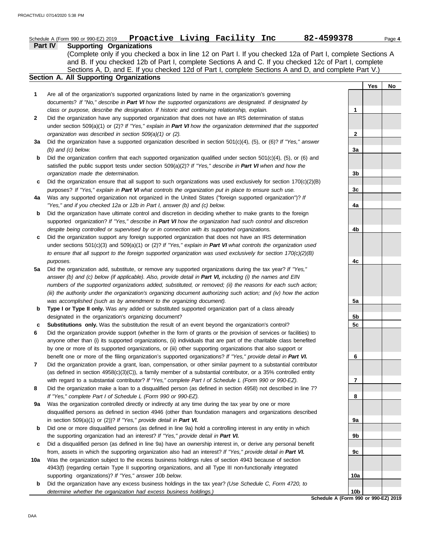|     | 82-4599378<br>Schedule A (Form 990 or 990-EZ) 2019  Proactive Living Facility Inc                                   |                 |            | Page 4 |
|-----|---------------------------------------------------------------------------------------------------------------------|-----------------|------------|--------|
|     | Part IV<br><b>Supporting Organizations</b>                                                                          |                 |            |        |
|     | (Complete only if you checked a box in line 12 on Part I. If you checked 12a of Part I, complete Sections A         |                 |            |        |
|     | and B. If you checked 12b of Part I, complete Sections A and C. If you checked 12c of Part I, complete              |                 |            |        |
|     | Sections A, D, and E. If you checked 12d of Part I, complete Sections A and D, and complete Part V.)                |                 |            |        |
|     | Section A. All Supporting Organizations                                                                             |                 |            |        |
|     |                                                                                                                     |                 | <b>Yes</b> | No     |
| 1   | Are all of the organization's supported organizations listed by name in the organization's governing                |                 |            |        |
|     | documents? If "No," describe in Part VI how the supported organizations are designated. If designated by            |                 |            |        |
|     | class or purpose, describe the designation. If historic and continuing relationship, explain.                       | 1               |            |        |
| 2   | Did the organization have any supported organization that does not have an IRS determination of status              |                 |            |        |
|     | under section 509(a)(1) or (2)? If "Yes," explain in Part VI how the organization determined that the supported     |                 |            |        |
|     | organization was described in section 509(a)(1) or (2).                                                             | $\mathbf{2}$    |            |        |
| За  | Did the organization have a supported organization described in section $501(c)(4)$ , (5), or (6)? If "Yes," answer |                 |            |        |
|     | $(b)$ and $(c)$ below.                                                                                              | 3a              |            |        |
| b   | Did the organization confirm that each supported organization qualified under section $501(c)(4)$ , (5), or (6) and |                 |            |        |
|     | satisfied the public support tests under section 509(a)(2)? If "Yes," describe in Part VI when and how the          |                 |            |        |
|     | organization made the determination.                                                                                | 3b              |            |        |
| c   | Did the organization ensure that all support to such organizations was used exclusively for section $170(c)(2)(B)$  |                 |            |        |
|     | purposes? If "Yes," explain in Part VI what controls the organization put in place to ensure such use.              | 3c              |            |        |
| 4a  | Was any supported organization not organized in the United States ("foreign supported organization")? If            |                 |            |        |
|     | "Yes," and if you checked 12a or 12b in Part I, answer (b) and (c) below.                                           | 4a              |            |        |
| b   | Did the organization have ultimate control and discretion in deciding whether to make grants to the foreign         |                 |            |        |
|     | supported organization? If "Yes," describe in Part VI how the organization had such control and discretion          |                 |            |        |
|     | despite being controlled or supervised by or in connection with its supported organizations.                        | 4b              |            |        |
| c   | Did the organization support any foreign supported organization that does not have an IRS determination             |                 |            |        |
|     | under sections $501(c)(3)$ and $509(a)(1)$ or (2)? If "Yes," explain in Part VI what controls the organization used |                 |            |        |
|     | to ensure that all support to the foreign supported organization was used exclusively for section $170(c)(2)(B)$    |                 |            |        |
|     | purposes.                                                                                                           | 4c              |            |        |
| 5a  | Did the organization add, substitute, or remove any supported organizations during the tax year? If "Yes,"          |                 |            |        |
|     | answer (b) and (c) below (if applicable). Also, provide detail in Part VI, including (i) the names and EIN          |                 |            |        |
|     | numbers of the supported organizations added, substituted, or removed; (ii) the reasons for each such action;       |                 |            |        |
|     | (iii) the authority under the organization's organizing document authorizing such action; and (iv) how the action   |                 |            |        |
|     | was accomplished (such as by amendment to the organizing document).                                                 | 5a              |            |        |
| b   | Type I or Type II only. Was any added or substituted supported organization part of a class already                 |                 |            |        |
|     | designated in the organization's organizing document?                                                               | 5b              |            |        |
|     | Substitutions only. Was the substitution the result of an event beyond the organization's control?                  | 5c              |            |        |
|     | Did the organization provide support (whether in the form of grants or the provision of services or facilities) to  |                 |            |        |
|     | anyone other than (i) its supported organizations, (ii) individuals that are part of the charitable class benefited |                 |            |        |
|     | by one or more of its supported organizations, or (iii) other supporting organizations that also support or         |                 |            |        |
|     | benefit one or more of the filing organization's supported organizations? If "Yes," provide detail in Part VI.      | 6               |            |        |
| 7   | Did the organization provide a grant, loan, compensation, or other similar payment to a substantial contributor     |                 |            |        |
|     | (as defined in section $4958(c)(3)(C)$ ), a family member of a substantial contributor, or a 35% controlled entity  |                 |            |        |
|     | with regard to a substantial contributor? If "Yes," complete Part I of Schedule L (Form 990 or 990-EZ).             | 7               |            |        |
| 8   | Did the organization make a loan to a disqualified person (as defined in section 4958) not described in line 7?     |                 |            |        |
|     | If "Yes," complete Part I of Schedule L (Form 990 or 990-EZ).                                                       | 8               |            |        |
| 9a  | Was the organization controlled directly or indirectly at any time during the tax year by one or more               |                 |            |        |
|     | disqualified persons as defined in section 4946 (other than foundation managers and organizations described         |                 |            |        |
|     | in section $509(a)(1)$ or $(2)$ ? If "Yes," provide detail in Part VI.                                              | 9а              |            |        |
| b   | Did one or more disqualified persons (as defined in line 9a) hold a controlling interest in any entity in which     |                 |            |        |
|     | the supporting organization had an interest? If "Yes," provide detail in Part VI.                                   | 9b              |            |        |
| c   | Did a disqualified person (as defined in line 9a) have an ownership interest in, or derive any personal benefit     |                 |            |        |
|     | from, assets in which the supporting organization also had an interest? If "Yes," provide detail in Part VI.        | 9с              |            |        |
| 10a | Was the organization subject to the excess business holdings rules of section 4943 because of section               |                 |            |        |
|     | 4943(f) (regarding certain Type II supporting organizations, and all Type III non-functionally integrated           |                 |            |        |
|     | supporting organizations)? If "Yes," answer 10b below.                                                              | 10a             |            |        |
| b   | Did the organization have any excess business holdings in the tax year? (Use Schedule C, Form 4720, to              |                 |            |        |
|     | determine whether the organization had excess business holdings.)                                                   | 10 <sub>b</sub> |            |        |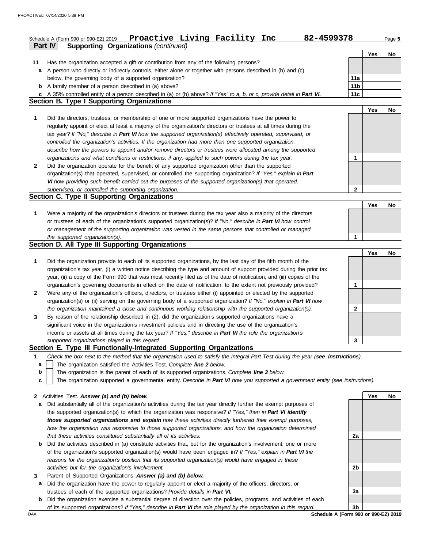|    | Proactive Living Facility Inc<br>82-4599378<br>Schedule A (Form 990 or 990-EZ) 2019<br><b>Part IV</b><br><b>Supporting Organizations (continued)</b>                                                                 |                 |            | Page 5 |
|----|----------------------------------------------------------------------------------------------------------------------------------------------------------------------------------------------------------------------|-----------------|------------|--------|
|    |                                                                                                                                                                                                                      |                 | <b>Yes</b> | No     |
| 11 | Has the organization accepted a gift or contribution from any of the following persons?                                                                                                                              |                 |            |        |
| a  | A person who directly or indirectly controls, either alone or together with persons described in (b) and (c)                                                                                                         |                 |            |        |
|    | below, the governing body of a supported organization?                                                                                                                                                               | 11a             |            |        |
|    | <b>b</b> A family member of a person described in (a) above?                                                                                                                                                         | 11 <sub>b</sub> |            |        |
|    | c A 35% controlled entity of a person described in (a) or (b) above? If "Yes" to a, b, or c, provide detail in Part VI.                                                                                              | 11c             |            |        |
|    | Section B. Type I Supporting Organizations                                                                                                                                                                           |                 |            |        |
|    |                                                                                                                                                                                                                      |                 | Yes        | No     |
| 1  | Did the directors, trustees, or membership of one or more supported organizations have the power to                                                                                                                  |                 |            |        |
|    | regularly appoint or elect at least a majority of the organization's directors or trustees at all times during the                                                                                                   |                 |            |        |
|    | tax year? If "No," describe in Part VI how the supported organization(s) effectively operated, supervised, or                                                                                                        |                 |            |        |
|    | controlled the organization's activities. If the organization had more than one supported organization,<br>describe how the powers to appoint and/or remove directors or trustees were allocated among the supported |                 |            |        |
|    | organizations and what conditions or restrictions, if any, applied to such powers during the tax year.                                                                                                               | 1               |            |        |
| 2  | Did the organization operate for the benefit of any supported organization other than the supported                                                                                                                  |                 |            |        |
|    | organization(s) that operated, supervised, or controlled the supporting organization? If "Yes," explain in Part                                                                                                      |                 |            |        |
|    | VI how providing such benefit carried out the purposes of the supported organization(s) that operated,                                                                                                               |                 |            |        |
|    | supervised, or controlled the supporting organization.                                                                                                                                                               | $\mathbf{2}$    |            |        |
|    | Section C. Type II Supporting Organizations                                                                                                                                                                          |                 |            |        |
|    |                                                                                                                                                                                                                      |                 | Yes        | No     |
| 1  | Were a majority of the organization's directors or trustees during the tax year also a majority of the directors                                                                                                     |                 |            |        |
|    | or trustees of each of the organization's supported organization(s)? If "No," describe in Part VI how control                                                                                                        |                 |            |        |
|    | or management of the supporting organization was vested in the same persons that controlled or managed                                                                                                               |                 |            |        |
|    | the supported organization(s).                                                                                                                                                                                       | 1               |            |        |
|    | Section D. All Type III Supporting Organizations                                                                                                                                                                     |                 |            |        |
|    |                                                                                                                                                                                                                      |                 | Yes        | No     |
| 1  | Did the organization provide to each of its supported organizations, by the last day of the fifth month of the                                                                                                       |                 |            |        |
|    | organization's tax year, (i) a written notice describing the type and amount of support provided during the prior tax                                                                                                |                 |            |        |
|    | year, (ii) a copy of the Form 990 that was most recently filed as of the date of notification, and (iii) copies of the                                                                                               |                 |            |        |
|    | organization's governing documents in effect on the date of notification, to the extent not previously provided?                                                                                                     | 1               |            |        |
| 2  | Were any of the organization's officers, directors, or trustees either (i) appointed or elected by the supported                                                                                                     |                 |            |        |
|    | organization(s) or (ii) serving on the governing body of a supported organization? If "No," explain in Part VI how                                                                                                   |                 |            |        |
|    | the organization maintained a close and continuous working relationship with the supported organization(s).<br>By reason of the relationship described in (2), did the organization's supported organizations have a | 2               |            |        |
| 3  | significant voice in the organization's investment policies and in directing the use of the organization's                                                                                                           |                 |            |        |
|    | income or assets at all times during the tax year? If "Yes," describe in Part VI the role the organization's                                                                                                         |                 |            |        |
|    | supported organizations played in this regard.                                                                                                                                                                       | 3               |            |        |
|    | Section E. Type III Functionally-Integrated Supporting Organizations                                                                                                                                                 |                 |            |        |
| 1  | Check the box next to the method that the organization used to satisfy the Integral Part Test during the year (see instructions).                                                                                    |                 |            |        |
| a  | The organization satisfied the Activities Test. Complete line 2 below.                                                                                                                                               |                 |            |        |
| b  | The organization is the parent of each of its supported organizations. Complete line 3 below.                                                                                                                        |                 |            |        |
| c  |                                                                                                                                                                                                                      |                 |            |        |
|    | The organization supported a governmental entity. Describe in Part VI how you supported a government entity (see instructions).                                                                                      |                 |            |        |
|    |                                                                                                                                                                                                                      |                 |            |        |
|    | 2 Activities Test. Answer (a) and (b) below.                                                                                                                                                                         |                 | Yes        | No     |
| а  | Did substantially all of the organization's activities during the tax year directly further the exempt purposes of                                                                                                   |                 |            |        |
|    | the supported organization(s) to which the organization was responsive? If "Yes," then in Part VI identify                                                                                                           |                 |            |        |
|    | those supported organizations and explain how these activities directly furthered their exempt purposes,                                                                                                             |                 |            |        |
|    | how the organization was responsive to those supported organizations, and how the organization determined                                                                                                            |                 |            |        |
|    | that these activities constituted substantially all of its activities.<br><b>b</b> Did the activities described in (a) constitute activities that but for the organization's involvement one or more                 | 2a              |            |        |

- **b** ictivities described in (a) constitute activities that, but for the organization's involvement, one or more of the organization's supported organization(s) would have been engaged in? *If "Yes," explain in Part VI the reasons for the organization's position that its supported organization(s) would have engaged in these activities but for the organization's involvement.*
- **3** Parent of Supported Organizations. *Answer (a) and (b) below.*
	- **a** Did the organization have the power to regularly appoint or elect a majority of the officers, directors, or trustees of each of the supported organizations? *Provide details in Part VI.*
- **b** Did the organization exercise a substantial degree of direction over the policies, programs, and activities of each of its supported organizations? *If "Yes," describe in Part VI the role played by the organization in this regard.*

**2b 3a 3b**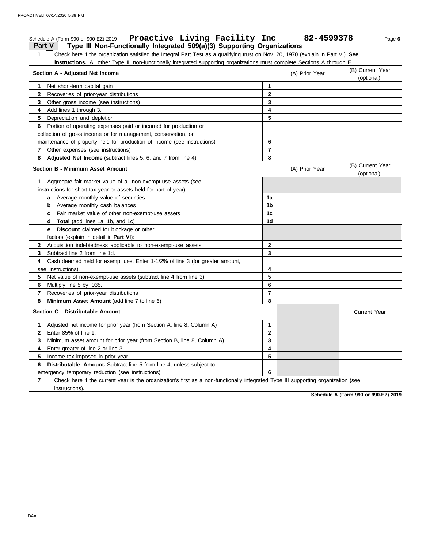## **Part V Type III Non-Functionally Integrated 509(a)(3) Supporting Organizations** Schedule A (Form 990 or 990-EZ) 2019 Page **6 Proactive Living Facility Inc 82-4599378 1** Check here if the organization satisfied the Integral Part Test as a qualifying trust on Nov. 20, 1970 (explain in Part VI). **See instructions.** All other Type III non-functionally integrated supporting organizations must complete Sections A through E.

| Section A - Adjusted Net Income                                                                                                        |                         | (A) Prior Year | (B) Current Year<br>(optional) |
|----------------------------------------------------------------------------------------------------------------------------------------|-------------------------|----------------|--------------------------------|
| 1.<br>Net short-term capital gain                                                                                                      | 1                       |                |                                |
| $\mathbf{2}$<br>Recoveries of prior-year distributions                                                                                 | $\overline{2}$          |                |                                |
| 3<br>Other gross income (see instructions)                                                                                             | 3                       |                |                                |
| 4<br>Add lines 1 through 3.                                                                                                            | $\overline{\mathbf{4}}$ |                |                                |
| Depreciation and depletion<br>5                                                                                                        | 5                       |                |                                |
| Portion of operating expenses paid or incurred for production or<br>6.                                                                 |                         |                |                                |
| collection of gross income or for management, conservation, or                                                                         |                         |                |                                |
| maintenance of property held for production of income (see instructions)                                                               | 6                       |                |                                |
| Other expenses (see instructions)<br>7                                                                                                 | $\overline{7}$          |                |                                |
| Adjusted Net Income (subtract lines 5, 6, and 7 from line 4)<br>8                                                                      | 8                       |                |                                |
| <b>Section B - Minimum Asset Amount</b>                                                                                                |                         | (A) Prior Year | (B) Current Year<br>(optional) |
| Aggregate fair market value of all non-exempt-use assets (see<br>1                                                                     |                         |                |                                |
| instructions for short tax year or assets held for part of year):                                                                      |                         |                |                                |
| <b>a</b> Average monthly value of securities                                                                                           | 1a                      |                |                                |
| <b>b</b> Average monthly cash balances                                                                                                 | 1 <sub>b</sub>          |                |                                |
| <b>c</b> Fair market value of other non-exempt-use assets                                                                              | 1 <sub>c</sub>          |                |                                |
| <b>d</b> Total (add lines 1a, 1b, and 1c)                                                                                              | 1 <sub>d</sub>          |                |                                |
| e Discount claimed for blockage or other                                                                                               |                         |                |                                |
| factors (explain in detail in <b>Part VI</b> ):                                                                                        |                         |                |                                |
| Acquisition indebtedness applicable to non-exempt-use assets<br>$\mathbf{2}$                                                           | $\mathbf{2}$            |                |                                |
| 3<br>Subtract line 2 from line 1d.                                                                                                     | 3                       |                |                                |
| Cash deemed held for exempt use. Enter 1-1/2% of line 3 (for greater amount,<br>4                                                      |                         |                |                                |
| see instructions).                                                                                                                     | 4                       |                |                                |
| 5.<br>Net value of non-exempt-use assets (subtract line 4 from line 3)                                                                 | 5                       |                |                                |
| 6<br>Multiply line 5 by .035.                                                                                                          | 6                       |                |                                |
| $\mathbf{7}$<br>Recoveries of prior-year distributions                                                                                 | $\overline{7}$          |                |                                |
| Minimum Asset Amount (add line 7 to line 6)<br>8                                                                                       | 8                       |                |                                |
| Section C - Distributable Amount                                                                                                       |                         |                | <b>Current Year</b>            |
| Adjusted net income for prior year (from Section A, line 8, Column A)<br>1                                                             | 1                       |                |                                |
| $\mathbf{2}$<br>Enter 85% of line 1.                                                                                                   | $\mathbf 2$             |                |                                |
| 3<br>Minimum asset amount for prior year (from Section B, line 8, Column A)                                                            | 3                       |                |                                |
| 4<br>Enter greater of line 2 or line 3.                                                                                                | $\overline{\mathbf{4}}$ |                |                                |
| 5<br>Income tax imposed in prior year                                                                                                  | 5                       |                |                                |
| <b>Distributable Amount.</b> Subtract line 5 from line 4, unless subject to<br>6                                                       |                         |                |                                |
| emergency temporary reduction (see instructions).                                                                                      | 6                       |                |                                |
| 7<br>Check here if the current year is the organization's first as a non-functionally integrated Type III supporting organization (see |                         |                |                                |
| instructions).                                                                                                                         |                         |                |                                |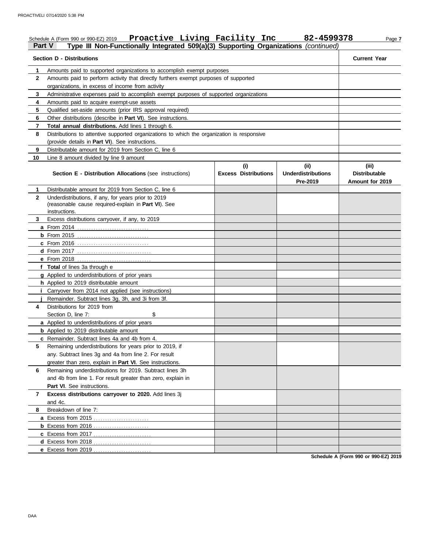### Schedule A (Form 990 or 990-EZ) 2019 Page **7 Proactive Living Facility Inc 82-4599378 Part V Type III Non-Functionally Integrated 509(a)(3) Supporting Organizations** *(continued)* **Section D - Distributions Current Year 1 2 3 4 5 6 7 8 9 10** Amounts paid to supported organizations to accomplish exempt purposes Amounts paid to perform activity that directly furthers exempt purposes of supported organizations, in excess of income from activity Administrative expenses paid to accomplish exempt purposes of supported organizations Amounts paid to acquire exempt-use assets Qualified set-aside amounts (prior IRS approval required) Other distributions (describe in **Part VI**). See instructions. **Total annual distributions.** Add lines 1 through 6. Distributions to attentive supported organizations to which the organization is responsive (provide details in **Part VI**). See instructions. Distributable amount for 2019 from Section C, line 6 Line 8 amount divided by line 9 amount **Section E - Distribution Allocations** (see instructions) **Excess Distributions (i) (ii) Underdistributions Pre-2019 (iii) Distributable Amount for 2019 8** Breakdown of line 7: **7 Excess distributions carryover to 2020.** Add lines 3j **6** Remaining underdistributions for 2019. Subtract lines 3h **5 4** Distributions for 2019 from **3** Excess distributions carryover, if any, to 2019 **2 1 a** From 2014 . . . . . . . . . . . . . . . . . . . . . . . . . . . . . . . **b** From 2015 . . . . . . . . . . . . . . . . . . . . . . . . . . . . . . . **c** From 2016 . . . . . . . . . . . . . . . . . . . . . . . . . . . . . . . **d** From 2017 . . . . . . . . . . . . . . . . . . . . . . . . . . . . . . . . **e** From 2018 . . . . . . . . . . . . . . . . . . . . . . . . . . . . . . . . **f Total** of lines 3a through e **g** Applied to underdistributions of prior years **h** Applied to 2019 distributable amount **i** Carryover from 2014 not applied (see instructions) **j** Remainder. Subtract lines 3g, 3h, and 3i from 3f. **a** Applied to underdistributions of prior years **b** Applied to 2019 distributable amount **c** Remainder. Subtract lines 4a and 4b from 4. **a** Excess from 2015 . . . . . . . . . . . . . . . . . . . . . . . . Distributable amount for 2019 from Section C, line 6 Underdistributions, if any, for years prior to 2019 (reasonable cause required-explain in **Part VI**). See Section D, line 7: \$ Remaining underdistributions for years prior to 2019, if any. Subtract lines 3g and 4a from line 2. For result greater than zero, explain in **Part VI**. See instructions. and 4b from line 1. For result greater than zero, explain in Part VI. See instructions. and 4c. instructions.

**b** Excess from 2016 . . . . . . . . . . . . . . . . . . . . . . . . **c** Excess from 2017 . . . . . . . . . . . . . . . . . . . . . . . . . **d** Excess from 2018 . . . . . . . . . . . . . . . . . . . . . . . . . **e** Excess from 2019 . . . . . . . . . . . . . . . . . . . . . . . . .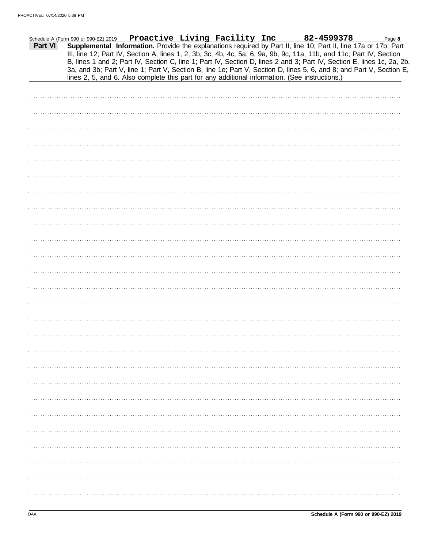| Part VI | Schedule A (Form 990 or 990-EZ) 2019<br>lines 2, 5, and 6. Also complete this part for any additional information. (See instructions.) |  | Proactive Living Facility Inc | 82-4599378<br>Supplemental Information. Provide the explanations required by Part II, line 10; Part II, line 17a or 17b; Part<br>III, line 12; Part IV, Section A, lines 1, 2, 3b, 3c, 4b, 4c, 5a, 6, 9a, 9b, 9c, 11a, 11b, and 11c; Part IV, Section<br>3a, and 3b; Part V, line 1; Part V, Section B, line 1e; Part V, Section D, lines 5, 6, and 8; and Part V, Section E, | Page 8<br>B, lines 1 and 2; Part IV, Section C, line 1; Part IV, Section D, lines 2 and 3; Part IV, Section E, lines 1c, 2a, 2b, |
|---------|----------------------------------------------------------------------------------------------------------------------------------------|--|-------------------------------|-------------------------------------------------------------------------------------------------------------------------------------------------------------------------------------------------------------------------------------------------------------------------------------------------------------------------------------------------------------------------------|----------------------------------------------------------------------------------------------------------------------------------|
|         |                                                                                                                                        |  |                               |                                                                                                                                                                                                                                                                                                                                                                               |                                                                                                                                  |
|         |                                                                                                                                        |  |                               |                                                                                                                                                                                                                                                                                                                                                                               |                                                                                                                                  |
|         |                                                                                                                                        |  |                               |                                                                                                                                                                                                                                                                                                                                                                               |                                                                                                                                  |
|         |                                                                                                                                        |  |                               |                                                                                                                                                                                                                                                                                                                                                                               |                                                                                                                                  |
|         |                                                                                                                                        |  |                               |                                                                                                                                                                                                                                                                                                                                                                               |                                                                                                                                  |
|         |                                                                                                                                        |  |                               |                                                                                                                                                                                                                                                                                                                                                                               |                                                                                                                                  |
|         |                                                                                                                                        |  |                               |                                                                                                                                                                                                                                                                                                                                                                               |                                                                                                                                  |
|         |                                                                                                                                        |  |                               |                                                                                                                                                                                                                                                                                                                                                                               |                                                                                                                                  |
|         |                                                                                                                                        |  |                               |                                                                                                                                                                                                                                                                                                                                                                               |                                                                                                                                  |
|         |                                                                                                                                        |  |                               |                                                                                                                                                                                                                                                                                                                                                                               |                                                                                                                                  |
|         |                                                                                                                                        |  |                               |                                                                                                                                                                                                                                                                                                                                                                               |                                                                                                                                  |
|         |                                                                                                                                        |  |                               |                                                                                                                                                                                                                                                                                                                                                                               |                                                                                                                                  |
|         |                                                                                                                                        |  |                               |                                                                                                                                                                                                                                                                                                                                                                               |                                                                                                                                  |
|         |                                                                                                                                        |  |                               |                                                                                                                                                                                                                                                                                                                                                                               |                                                                                                                                  |
|         |                                                                                                                                        |  |                               |                                                                                                                                                                                                                                                                                                                                                                               |                                                                                                                                  |
|         |                                                                                                                                        |  |                               |                                                                                                                                                                                                                                                                                                                                                                               |                                                                                                                                  |
|         |                                                                                                                                        |  |                               |                                                                                                                                                                                                                                                                                                                                                                               |                                                                                                                                  |
|         |                                                                                                                                        |  |                               |                                                                                                                                                                                                                                                                                                                                                                               |                                                                                                                                  |
|         |                                                                                                                                        |  |                               |                                                                                                                                                                                                                                                                                                                                                                               |                                                                                                                                  |
|         |                                                                                                                                        |  |                               |                                                                                                                                                                                                                                                                                                                                                                               |                                                                                                                                  |
|         |                                                                                                                                        |  |                               |                                                                                                                                                                                                                                                                                                                                                                               |                                                                                                                                  |
|         |                                                                                                                                        |  |                               |                                                                                                                                                                                                                                                                                                                                                                               |                                                                                                                                  |
|         |                                                                                                                                        |  |                               |                                                                                                                                                                                                                                                                                                                                                                               |                                                                                                                                  |
|         |                                                                                                                                        |  |                               |                                                                                                                                                                                                                                                                                                                                                                               |                                                                                                                                  |
|         |                                                                                                                                        |  |                               |                                                                                                                                                                                                                                                                                                                                                                               |                                                                                                                                  |
|         |                                                                                                                                        |  |                               |                                                                                                                                                                                                                                                                                                                                                                               |                                                                                                                                  |
|         |                                                                                                                                        |  |                               |                                                                                                                                                                                                                                                                                                                                                                               |                                                                                                                                  |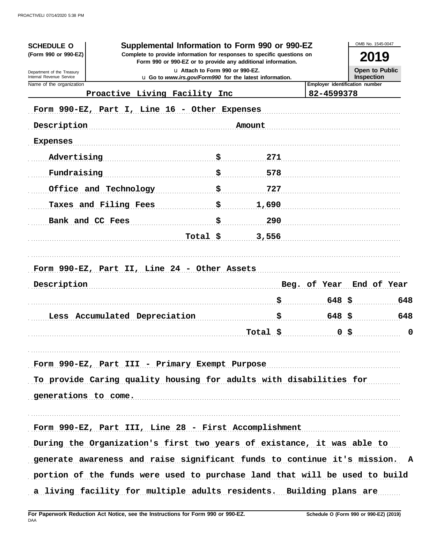| (Form 990 or 990-EZ)<br>Complete to provide information for responses to specific questions on<br>2019<br>Form 990 or 990-EZ or to provide any additional information.<br>Open to Public<br>u Attach to Form 990 or 990-EZ.<br>Department of the Treasury<br><b>Inspection</b><br>Internal Revenue Service<br>u Go to www.irs.gov/Form990 for the latest information.<br>Employer identification number<br>Name of the organization<br>Proactive Living Facility Inc<br>82-4599378<br>Form 990-EZ, Part I, Line 16 - Other Expenses<br>Description<br>Amount<br>Expenses<br>Advertising<br>\$<br>271<br>Fundraising<br>\$<br>578<br>\$<br>Office and Technology<br>727<br>\$<br>Taxes and Filing Fees<br>1,690<br>\$<br>Bank and CC Fees<br>290<br>Total \$<br>3,556<br>Form 990-EZ, Part II, Line 24 - Other Assets<br>Description<br>End of Year<br>Beg. of Year<br>\$<br>$648$ \$<br>Less Accumulated Depreciation<br>$648$ \$<br>$Total \; \; \; 0 \; \; \; 0 \; \; \; 5$<br>Form 990-EZ, Part III - Primary Exempt Purpose |
|---------------------------------------------------------------------------------------------------------------------------------------------------------------------------------------------------------------------------------------------------------------------------------------------------------------------------------------------------------------------------------------------------------------------------------------------------------------------------------------------------------------------------------------------------------------------------------------------------------------------------------------------------------------------------------------------------------------------------------------------------------------------------------------------------------------------------------------------------------------------------------------------------------------------------------------------------------------------------------------------------------------------------------|
|                                                                                                                                                                                                                                                                                                                                                                                                                                                                                                                                                                                                                                                                                                                                                                                                                                                                                                                                                                                                                                 |
|                                                                                                                                                                                                                                                                                                                                                                                                                                                                                                                                                                                                                                                                                                                                                                                                                                                                                                                                                                                                                                 |
|                                                                                                                                                                                                                                                                                                                                                                                                                                                                                                                                                                                                                                                                                                                                                                                                                                                                                                                                                                                                                                 |
|                                                                                                                                                                                                                                                                                                                                                                                                                                                                                                                                                                                                                                                                                                                                                                                                                                                                                                                                                                                                                                 |
|                                                                                                                                                                                                                                                                                                                                                                                                                                                                                                                                                                                                                                                                                                                                                                                                                                                                                                                                                                                                                                 |
|                                                                                                                                                                                                                                                                                                                                                                                                                                                                                                                                                                                                                                                                                                                                                                                                                                                                                                                                                                                                                                 |
|                                                                                                                                                                                                                                                                                                                                                                                                                                                                                                                                                                                                                                                                                                                                                                                                                                                                                                                                                                                                                                 |
|                                                                                                                                                                                                                                                                                                                                                                                                                                                                                                                                                                                                                                                                                                                                                                                                                                                                                                                                                                                                                                 |
|                                                                                                                                                                                                                                                                                                                                                                                                                                                                                                                                                                                                                                                                                                                                                                                                                                                                                                                                                                                                                                 |
|                                                                                                                                                                                                                                                                                                                                                                                                                                                                                                                                                                                                                                                                                                                                                                                                                                                                                                                                                                                                                                 |
|                                                                                                                                                                                                                                                                                                                                                                                                                                                                                                                                                                                                                                                                                                                                                                                                                                                                                                                                                                                                                                 |
|                                                                                                                                                                                                                                                                                                                                                                                                                                                                                                                                                                                                                                                                                                                                                                                                                                                                                                                                                                                                                                 |
|                                                                                                                                                                                                                                                                                                                                                                                                                                                                                                                                                                                                                                                                                                                                                                                                                                                                                                                                                                                                                                 |
|                                                                                                                                                                                                                                                                                                                                                                                                                                                                                                                                                                                                                                                                                                                                                                                                                                                                                                                                                                                                                                 |
|                                                                                                                                                                                                                                                                                                                                                                                                                                                                                                                                                                                                                                                                                                                                                                                                                                                                                                                                                                                                                                 |
|                                                                                                                                                                                                                                                                                                                                                                                                                                                                                                                                                                                                                                                                                                                                                                                                                                                                                                                                                                                                                                 |
|                                                                                                                                                                                                                                                                                                                                                                                                                                                                                                                                                                                                                                                                                                                                                                                                                                                                                                                                                                                                                                 |
| To provide Caring quality housing for adults with disabilities for                                                                                                                                                                                                                                                                                                                                                                                                                                                                                                                                                                                                                                                                                                                                                                                                                                                                                                                                                              |
| generations to come.                                                                                                                                                                                                                                                                                                                                                                                                                                                                                                                                                                                                                                                                                                                                                                                                                                                                                                                                                                                                            |
|                                                                                                                                                                                                                                                                                                                                                                                                                                                                                                                                                                                                                                                                                                                                                                                                                                                                                                                                                                                                                                 |
| Form 990-EZ, Part III, Line 28 - First Accomplishment                                                                                                                                                                                                                                                                                                                                                                                                                                                                                                                                                                                                                                                                                                                                                                                                                                                                                                                                                                           |
| During the Organization's first two years of existance, it was able to                                                                                                                                                                                                                                                                                                                                                                                                                                                                                                                                                                                                                                                                                                                                                                                                                                                                                                                                                          |
|                                                                                                                                                                                                                                                                                                                                                                                                                                                                                                                                                                                                                                                                                                                                                                                                                                                                                                                                                                                                                                 |
| generate awareness and raise significant funds to continue it's mission. A                                                                                                                                                                                                                                                                                                                                                                                                                                                                                                                                                                                                                                                                                                                                                                                                                                                                                                                                                      |
| portion of the funds were used to purchase land that will be used to build                                                                                                                                                                                                                                                                                                                                                                                                                                                                                                                                                                                                                                                                                                                                                                                                                                                                                                                                                      |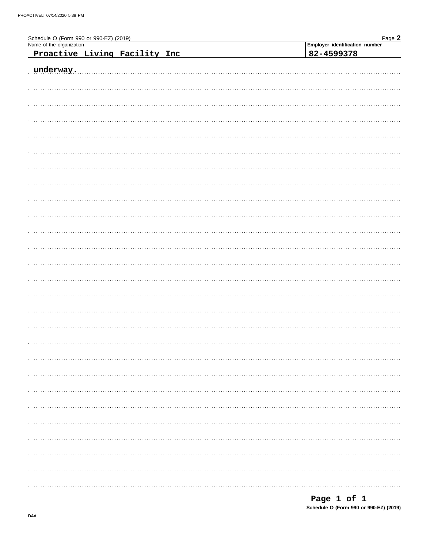| Schedule O (Form 990 or 990-EZ) (2019)<br>Name of the organization | Page 2                         |
|--------------------------------------------------------------------|--------------------------------|
|                                                                    | Employer identification number |
| Proactive Living Facility Inc                                      | 82-4599378                     |
|                                                                    |                                |
| underway.                                                          |                                |
|                                                                    |                                |
|                                                                    |                                |
|                                                                    |                                |
|                                                                    |                                |
|                                                                    |                                |
|                                                                    |                                |
|                                                                    |                                |
|                                                                    |                                |
|                                                                    |                                |
|                                                                    |                                |
|                                                                    |                                |
|                                                                    |                                |
|                                                                    |                                |
|                                                                    |                                |
|                                                                    |                                |
|                                                                    |                                |
|                                                                    |                                |
|                                                                    |                                |
|                                                                    |                                |
|                                                                    |                                |
|                                                                    |                                |
|                                                                    |                                |
|                                                                    |                                |
|                                                                    |                                |
|                                                                    |                                |
|                                                                    |                                |
|                                                                    |                                |
|                                                                    |                                |
|                                                                    |                                |
|                                                                    |                                |
|                                                                    |                                |
|                                                                    |                                |
|                                                                    |                                |
|                                                                    |                                |
|                                                                    |                                |
|                                                                    |                                |
|                                                                    |                                |
|                                                                    |                                |
|                                                                    |                                |
|                                                                    |                                |
|                                                                    |                                |
|                                                                    |                                |
|                                                                    |                                |
|                                                                    |                                |
|                                                                    |                                |
|                                                                    |                                |
|                                                                    |                                |
|                                                                    |                                |
|                                                                    | Page 1 of 1                    |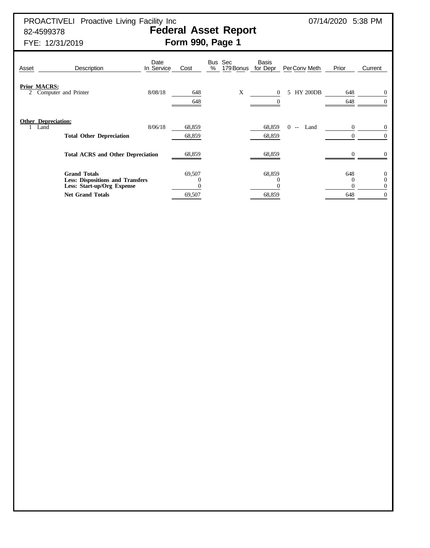PROACTIVELI Proactive Living Facility Inc  $07/14/2020$  5:38 PM 82-4599378 **Federal Asset Report**

# FYE: 12/31/2019 **Form 990, Page 1**

| Asset | Description                                                                                                             | Date<br>In Service | Cost                         | % | Bus Sec<br>179 Bonus | Basis<br>for Depr | Per Conv Meth            | Prior                  | Current                                      |
|-------|-------------------------------------------------------------------------------------------------------------------------|--------------------|------------------------------|---|----------------------|-------------------|--------------------------|------------------------|----------------------------------------------|
| 2     | <b>Prior MACRS:</b><br>Computer and Printer                                                                             | 8/08/18            | 648<br>648                   |   | X                    | $\overline{0}$    | <b>HY 200DB</b><br>5     | 648<br>648             | $\theta$                                     |
|       | <b>Other Depreciation:</b><br>Land<br><b>Total Other Depreciation</b>                                                   | 8/06/18            | 68,859<br>68,859             |   |                      | 68,859<br>68,859  | $\Omega$<br>Land<br>$ -$ | $\Omega$<br>$\Omega$   | $\Omega$<br>$\Omega$                         |
|       | <b>Total ACRS and Other Depreciation</b>                                                                                |                    | 68,859                       |   |                      | 68,859            |                          |                        |                                              |
|       | <b>Grand Totals</b><br><b>Less: Dispositions and Transfers</b><br>Less: Start-up/Org Expense<br><b>Net Grand Totals</b> |                    | 69,507<br>$\theta$<br>69,507 |   |                      | 68,859<br>68,859  |                          | 648<br>$\theta$<br>648 | $\theta$<br>$\Omega$<br>$\Omega$<br>$\theta$ |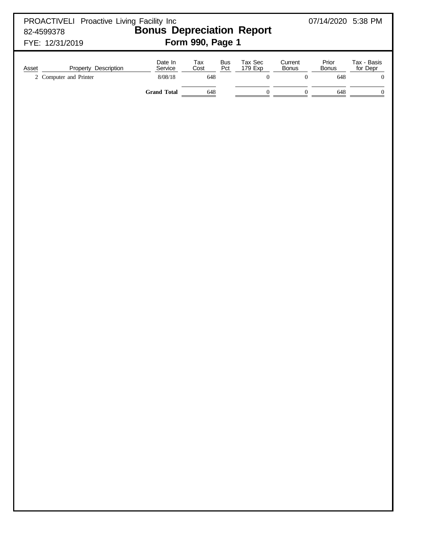| PROACTIVELI Proactive Living Facility Inc<br>82-4599378<br>FYE: 12/31/2019 | <b>Bonus Depreciation Report</b> | <b>Form 990, Page 1</b>   |                      |                  |                       | 07/14/2020 5:38 PM      |
|----------------------------------------------------------------------------|----------------------------------|---------------------------|----------------------|------------------|-----------------------|-------------------------|
| Property Description<br>Asset                                              | Date In<br>Service               | Tax<br>Cost<br>Bus<br>Pct | Tax Sec<br>179 Exp   | Current<br>Bonus | Prior<br><b>Bonus</b> | Tax - Basis<br>for Depr |
| 2 Computer and Printer                                                     | 8/08/18                          | 648                       | $\boldsymbol{0}$     | $\boldsymbol{0}$ | 648                   | $\boldsymbol{0}$        |
|                                                                            | <b>Grand Total</b>               | 648                       | $\frac{0}{\sqrt{2}}$ | $\overline{0}$   | 648                   | $\boldsymbol{0}$        |
|                                                                            |                                  |                           |                      |                  |                       |                         |
|                                                                            |                                  |                           |                      |                  |                       |                         |
|                                                                            |                                  |                           |                      |                  |                       |                         |
|                                                                            |                                  |                           |                      |                  |                       |                         |
|                                                                            |                                  |                           |                      |                  |                       |                         |
|                                                                            |                                  |                           |                      |                  |                       |                         |
|                                                                            |                                  |                           |                      |                  |                       |                         |
|                                                                            |                                  |                           |                      |                  |                       |                         |
|                                                                            |                                  |                           |                      |                  |                       |                         |
|                                                                            |                                  |                           |                      |                  |                       |                         |
|                                                                            |                                  |                           |                      |                  |                       |                         |
|                                                                            |                                  |                           |                      |                  |                       |                         |
|                                                                            |                                  |                           |                      |                  |                       |                         |
|                                                                            |                                  |                           |                      |                  |                       |                         |
|                                                                            |                                  |                           |                      |                  |                       |                         |
|                                                                            |                                  |                           |                      |                  |                       |                         |
|                                                                            |                                  |                           |                      |                  |                       |                         |
|                                                                            |                                  |                           |                      |                  |                       |                         |
|                                                                            |                                  |                           |                      |                  |                       |                         |
|                                                                            |                                  |                           |                      |                  |                       |                         |
|                                                                            |                                  |                           |                      |                  |                       |                         |
|                                                                            |                                  |                           |                      |                  |                       |                         |
|                                                                            |                                  |                           |                      |                  |                       |                         |
|                                                                            |                                  |                           |                      |                  |                       |                         |
|                                                                            |                                  |                           |                      |                  |                       |                         |
|                                                                            |                                  |                           |                      |                  |                       |                         |
|                                                                            |                                  |                           |                      |                  |                       |                         |
|                                                                            |                                  |                           |                      |                  |                       |                         |
|                                                                            |                                  |                           |                      |                  |                       |                         |
|                                                                            |                                  |                           |                      |                  |                       |                         |
|                                                                            |                                  |                           |                      |                  |                       |                         |
|                                                                            |                                  |                           |                      |                  |                       |                         |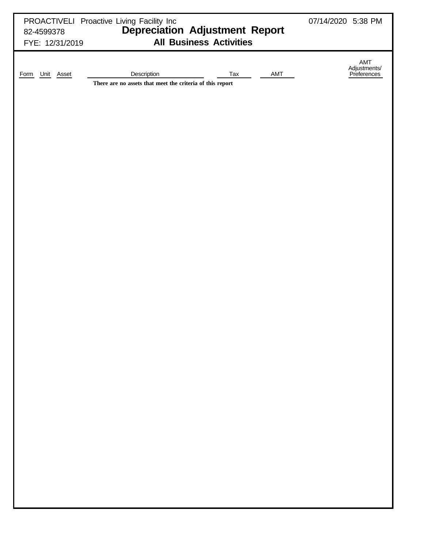| FYE: 12/31/2019              | PROACTIVELI Proactive Living Facility Inc<br>82-4599378 <b>Depreciation Adjustment Report</b> | <b>All Business Activities</b> |     | 07/14/2020 5:38 PM                 |
|------------------------------|-----------------------------------------------------------------------------------------------|--------------------------------|-----|------------------------------------|
| Unit<br><b>Asset</b><br>Form | Description                                                                                   | Tax                            | AMT | AMT<br>Adjustments/<br>Preferences |
|                              | There are no assets that meet the criteria of this report                                     |                                |     |                                    |
|                              |                                                                                               |                                |     |                                    |
|                              |                                                                                               |                                |     |                                    |
|                              |                                                                                               |                                |     |                                    |
|                              |                                                                                               |                                |     |                                    |
|                              |                                                                                               |                                |     |                                    |
|                              |                                                                                               |                                |     |                                    |
|                              |                                                                                               |                                |     |                                    |
|                              |                                                                                               |                                |     |                                    |
|                              |                                                                                               |                                |     |                                    |
|                              |                                                                                               |                                |     |                                    |
|                              |                                                                                               |                                |     |                                    |
|                              |                                                                                               |                                |     |                                    |
|                              |                                                                                               |                                |     |                                    |
|                              |                                                                                               |                                |     |                                    |
|                              |                                                                                               |                                |     |                                    |
|                              |                                                                                               |                                |     |                                    |
|                              |                                                                                               |                                |     |                                    |
|                              |                                                                                               |                                |     |                                    |
|                              |                                                                                               |                                |     |                                    |
|                              |                                                                                               |                                |     |                                    |
|                              |                                                                                               |                                |     |                                    |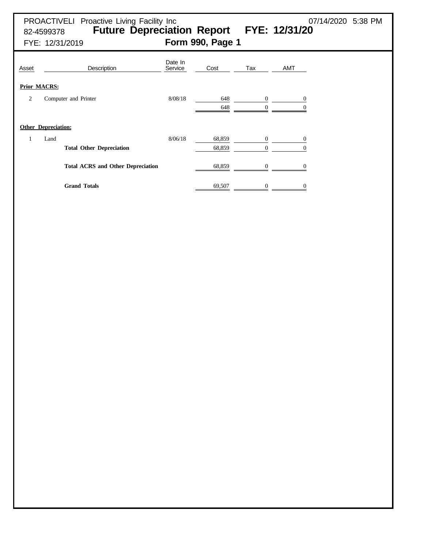| 82-4599378                 | PROACTIVELI Proactive Living Facility Inc<br>Future Depreciation Report FYE: 12/31/20<br>FYE: 12/31/2019 |                    | Form 990, Page 1 |                |            | 07/14/2020 5:38 PM |  |
|----------------------------|----------------------------------------------------------------------------------------------------------|--------------------|------------------|----------------|------------|--------------------|--|
| Asset                      | Description                                                                                              | Date In<br>Service | Cost             | Tax            | <b>AMT</b> |                    |  |
| <b>Prior MACRS:</b>        |                                                                                                          |                    |                  |                |            |                    |  |
| 2                          | Computer and Printer                                                                                     | 8/08/18            | 648              | $\overline{0}$ |            |                    |  |
|                            |                                                                                                          |                    | 648              | $\Omega$       |            |                    |  |
| <b>Other Depreciation:</b> |                                                                                                          |                    |                  |                |            |                    |  |
|                            | Land                                                                                                     | 8/06/18            | 68,859           | $\Omega$       |            |                    |  |
|                            | <b>Total Other Depreciation</b>                                                                          |                    | 68,859           | $\Omega$       |            |                    |  |
|                            | <b>Total ACRS and Other Depreciation</b>                                                                 |                    | 68,859           |                |            |                    |  |
|                            | <b>Grand Totals</b>                                                                                      |                    | 69,507           | $\overline{0}$ |            | 0                  |  |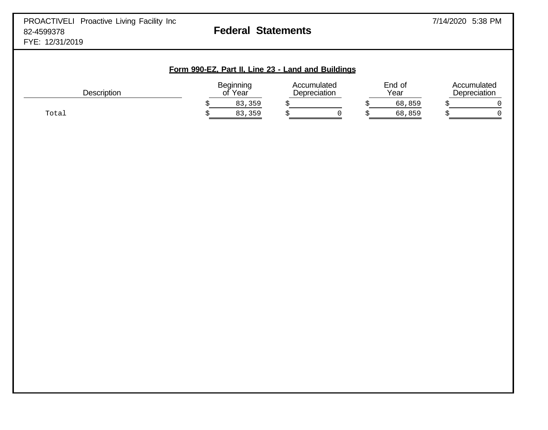| <b>Description</b> | Beginning<br>of Year | Accumulated<br>Depreciation | End of<br>Year |        | Accumulated<br>Depreciation |
|--------------------|----------------------|-----------------------------|----------------|--------|-----------------------------|
|                    | 83,359               | S                           |                | 68,859 |                             |
| Total              | 83,359               |                             |                | 68,859 |                             |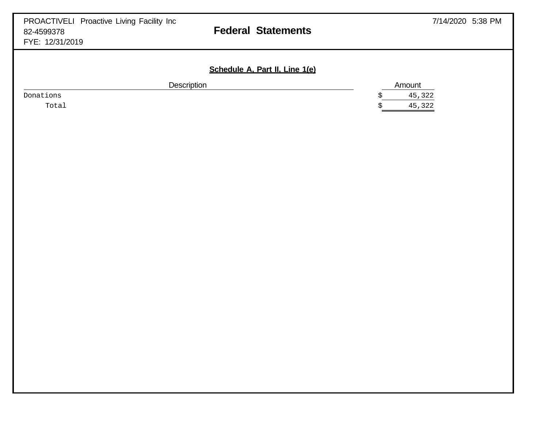| PROACTIVELI Proactive Living Facility Inc<br>82-4599378<br>FYE: 12/31/2019 | <b>Federal Statements</b>      | 7/14/2020 5:38 PM |
|----------------------------------------------------------------------------|--------------------------------|-------------------|
|                                                                            | Schedule A, Part II, Line 1(e) |                   |
| Description                                                                |                                | Amount            |
| Donations                                                                  |                                | 45,322            |
| Total                                                                      |                                | 45,322            |
|                                                                            |                                |                   |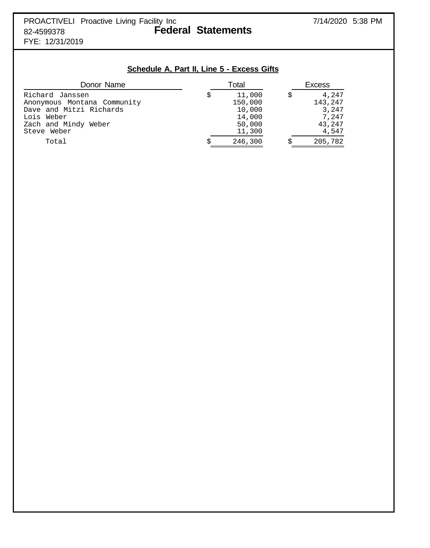## **Schedule A, Part II, Line 5 - Excess Gifts**

| Donor Name                                             | Total             |  | <b>Excess</b>    |
|--------------------------------------------------------|-------------------|--|------------------|
| Richard Janssen                                        | 11,000            |  | 4,247            |
| Anonymous Montana Community<br>Dave and Mitzi Richards | 150,000<br>10,000 |  | 143,247<br>3,247 |
| Lois Weber                                             | 14,000            |  | 7,247            |
| Zach and Mindy Weber<br>Steve Weber                    | 50,000<br>11,300  |  | 43,247<br>4,547  |
| Total                                                  | 246,300           |  | 205,782          |